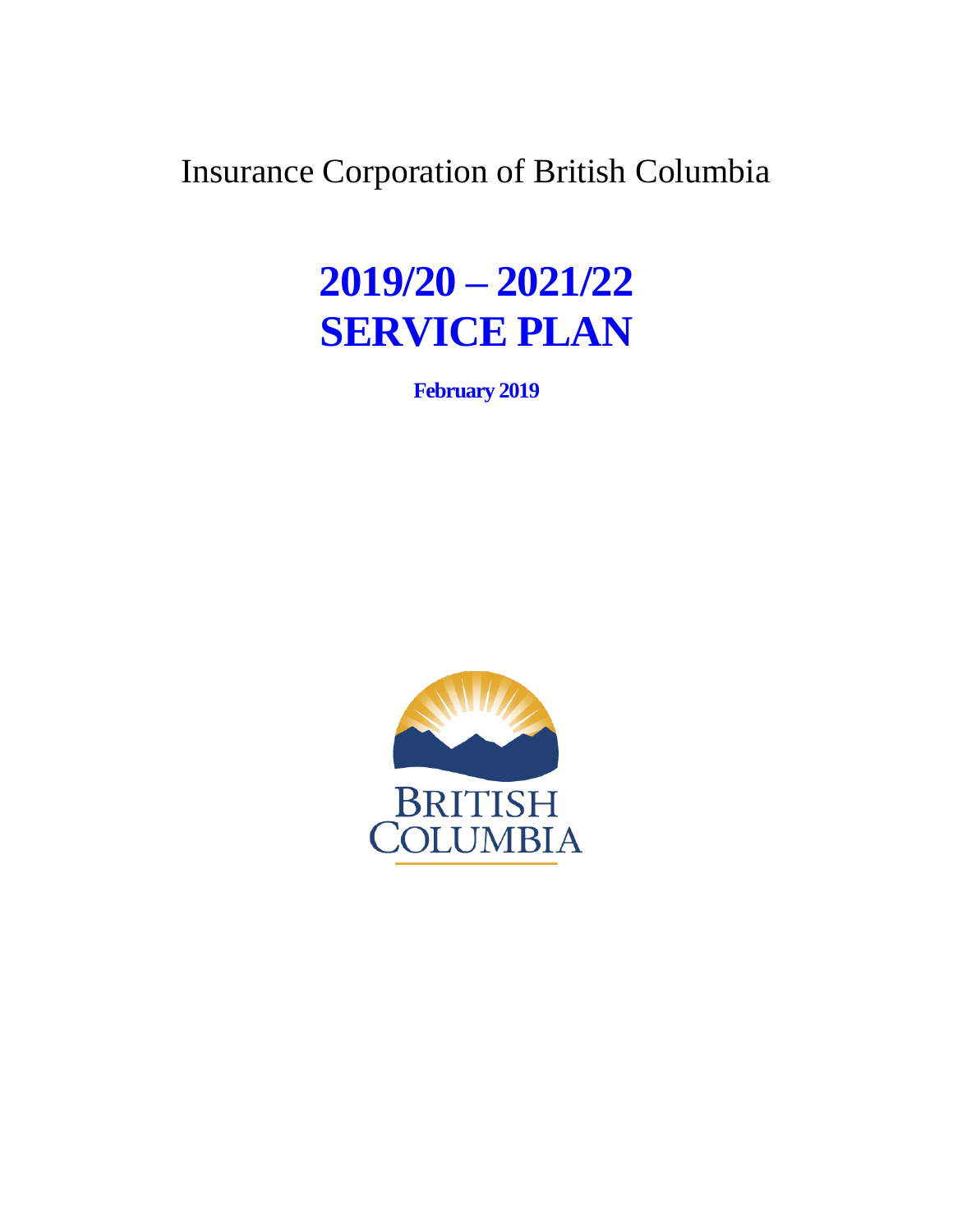Insurance Corporation of British Columbia

# **2019/20 – 2021/22 SERVICE PLAN**

**February 2019**

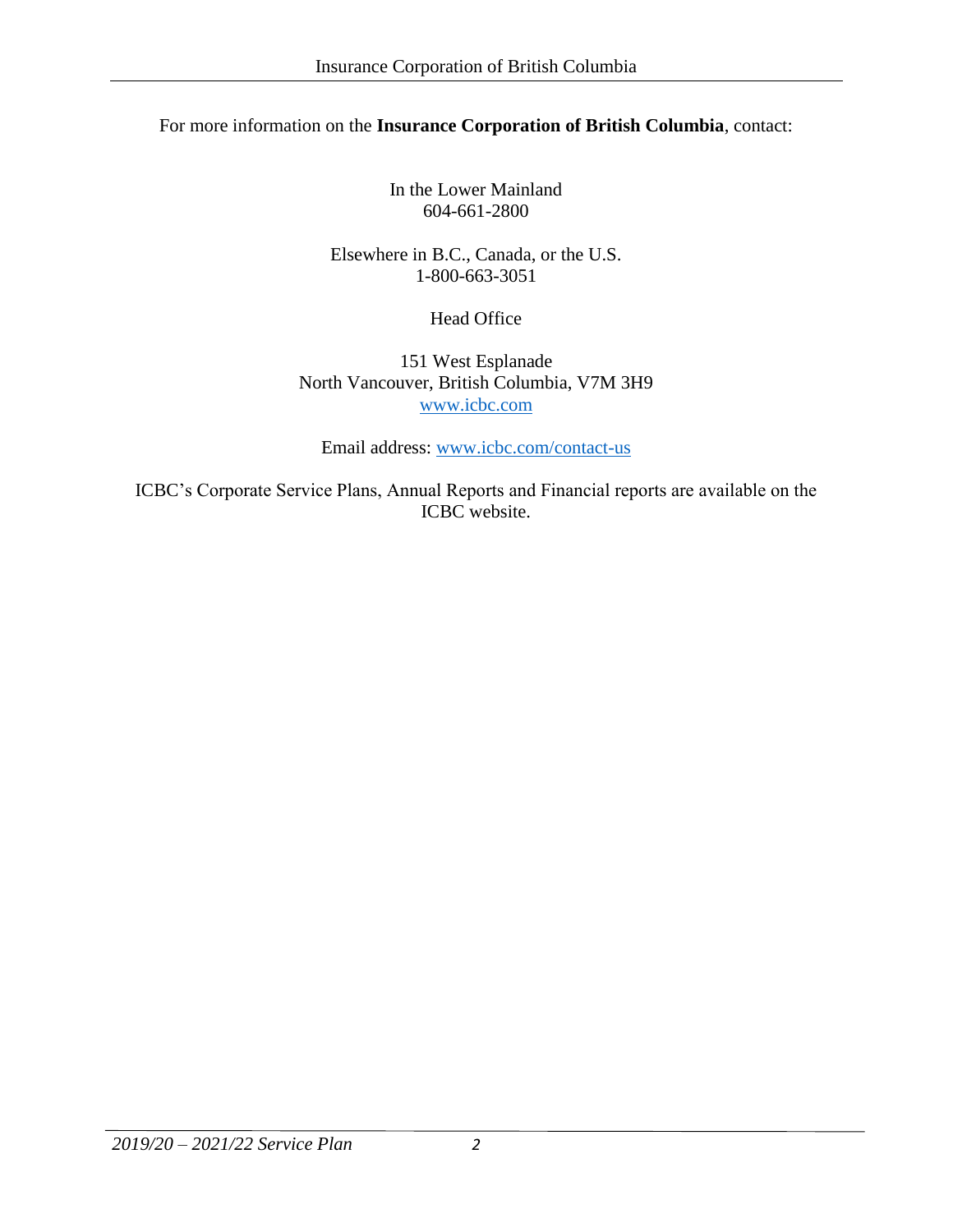#### For more information on the **Insurance Corporation of British Columbia**, contact:

In the Lower Mainland 604-661-2800

Elsewhere in B.C., Canada, or the U.S. 1-800-663-3051

Head Office

151 West Esplanade North Vancouver, British Columbia, V7M 3H9 [www.icbc.com](file://///DS01ICBC/NTData/Communications/Projects-Files/Corporate%20Services/Service%20Plan/2018_19-2020_21%20Feb/www.icbc.com)

Email address: [www.icbc.com/contact-us](file://///DS01ICBC/NTData/Communications/Projects-Files/Corporate%20Services/Service%20Plan/2018_19-2020_21%20Feb/www.icbc.com/contact-us)

ICBC's Corporate Service Plans, Annual Reports and Financial reports are available on the ICBC website.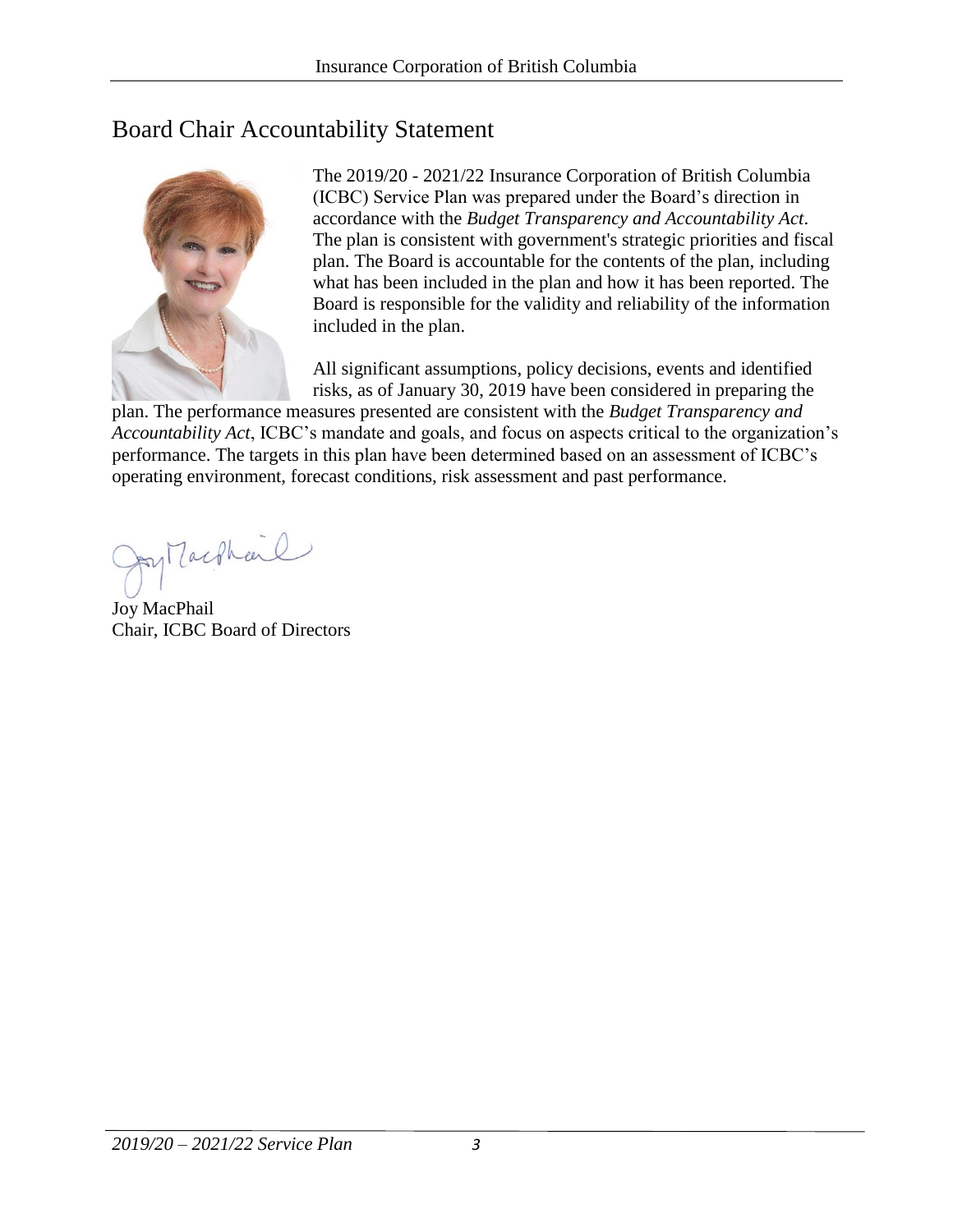# Board Chair Accountability Statement



The 2019/20 - 2021/22 Insurance Corporation of British Columbia (ICBC) Service Plan was prepared under the Board's direction in accordance with the *Budget Transparency and Accountability Act*. The plan is consistent with government's strategic priorities and fiscal plan. The Board is accountable for the contents of the plan, including what has been included in the plan and how it has been reported. The Board is responsible for the validity and reliability of the information included in the plan.

All significant assumptions, policy decisions, events and identified risks, as of January 30, 2019 have been considered in preparing the

plan. The performance measures presented are consistent with the *Budget Transparency and Accountability Act*, ICBC's mandate and goals, and focus on aspects critical to the organization's performance. The targets in this plan have been determined based on an assessment of ICBC's operating environment, forecast conditions, risk assessment and past performance.

py Machail

Joy MacPhail Chair, ICBC Board of Directors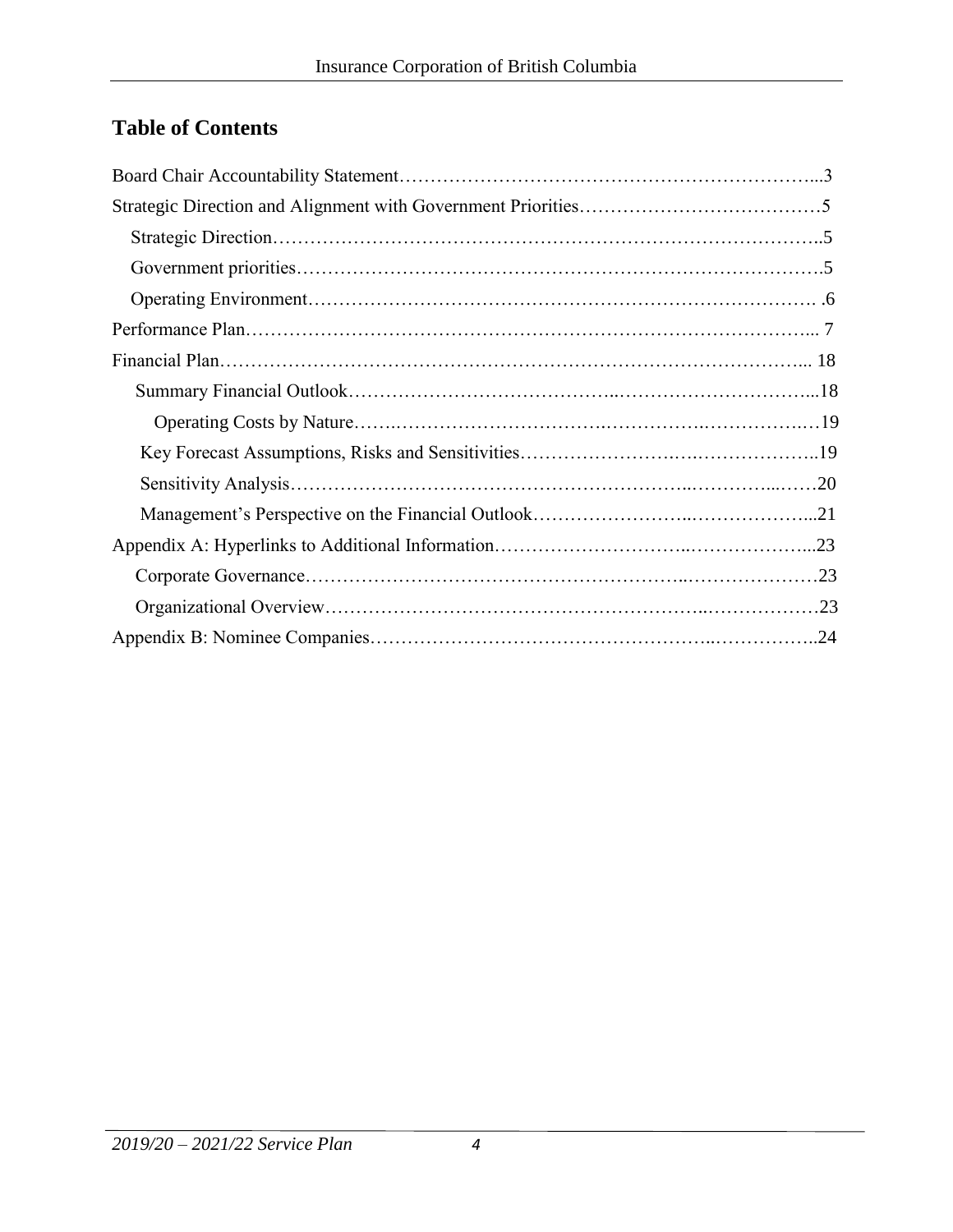# **Table of Contents**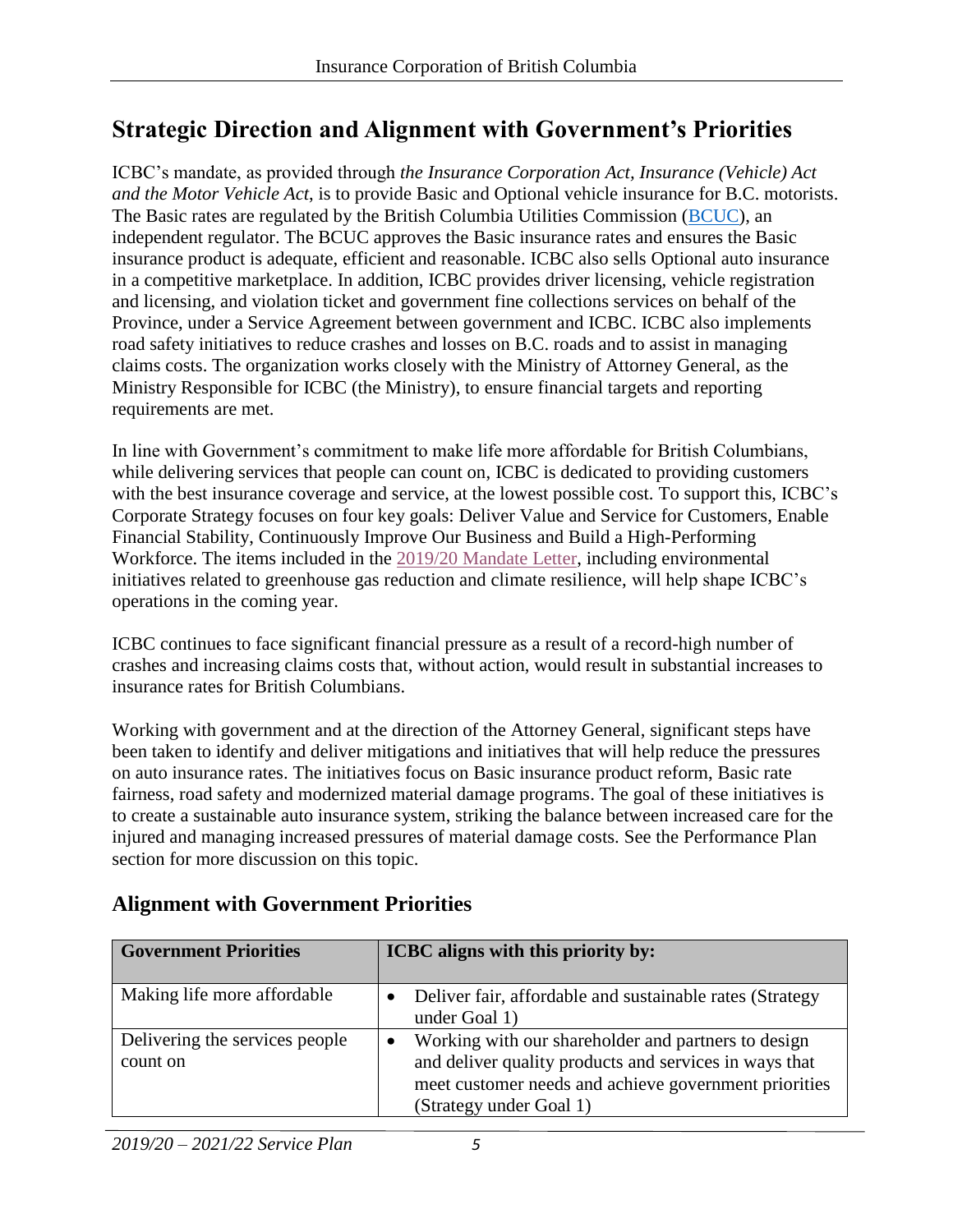# **Strategic Direction and Alignment with Government's Priorities**

ICBC's mandate, as provided through *the Insurance Corporation Act, Insurance (Vehicle) Act and the Motor Vehicle Act*, is to provide Basic and Optional vehicle insurance for B.C. motorists. The Basic rates are regulated by the British Columbia Utilities Commission [\(BCUC\)](http://www.bcuc.com/), an independent regulator. The BCUC approves the Basic insurance rates and ensures the Basic insurance product is adequate, efficient and reasonable. ICBC also sells Optional auto insurance in a competitive marketplace. In addition, ICBC provides driver licensing, vehicle registration and licensing, and violation ticket and government fine collections services on behalf of the Province, under a Service Agreement between government and ICBC. ICBC also implements road safety initiatives to reduce crashes and losses on B.C. roads and to assist in managing claims costs. The organization works closely with the Ministry of Attorney General, as the Ministry Responsible for ICBC (the Ministry), to ensure financial targets and reporting requirements are met.

In line with Government's commitment to make life more affordable for British Columbians, while delivering services that people can count on, ICBC is dedicated to providing customers with the best insurance coverage and service, at the lowest possible cost. To support this, ICBC's Corporate Strategy focuses on four key goals: Deliver Value and Service for Customers, Enable Financial Stability, Continuously Improve Our Business and Build a High-Performing Workforce. The items included in the 2019/20 [Mandate Letter,](https://www.icbc.com/about-icbc/company-info/Documents/mandate-letter-2019-2020.pdf) including environmental initiatives related to greenhouse gas reduction and climate resilience, will help shape ICBC's operations in the coming year.

ICBC continues to face significant financial pressure as a result of a record-high number of crashes and increasing claims costs that, without action, would result in substantial increases to insurance rates for British Columbians.

Working with government and at the direction of the Attorney General, significant steps have been taken to identify and deliver mitigations and initiatives that will help reduce the pressures on auto insurance rates. The initiatives focus on Basic insurance product reform, Basic rate fairness, road safety and modernized material damage programs. The goal of these initiatives is to create a sustainable auto insurance system, striking the balance between increased care for the injured and managing increased pressures of material damage costs. See the Performance Plan section for more discussion on this topic.

# **Alignment with Government Priorities**

| <b>Government Priorities</b>               | ICBC aligns with this priority by:                                                                                                                                                                |
|--------------------------------------------|---------------------------------------------------------------------------------------------------------------------------------------------------------------------------------------------------|
| Making life more affordable                | Deliver fair, affordable and sustainable rates (Strategy<br>under Goal 1)                                                                                                                         |
| Delivering the services people<br>count on | Working with our shareholder and partners to design<br>and deliver quality products and services in ways that<br>meet customer needs and achieve government priorities<br>(Strategy under Goal 1) |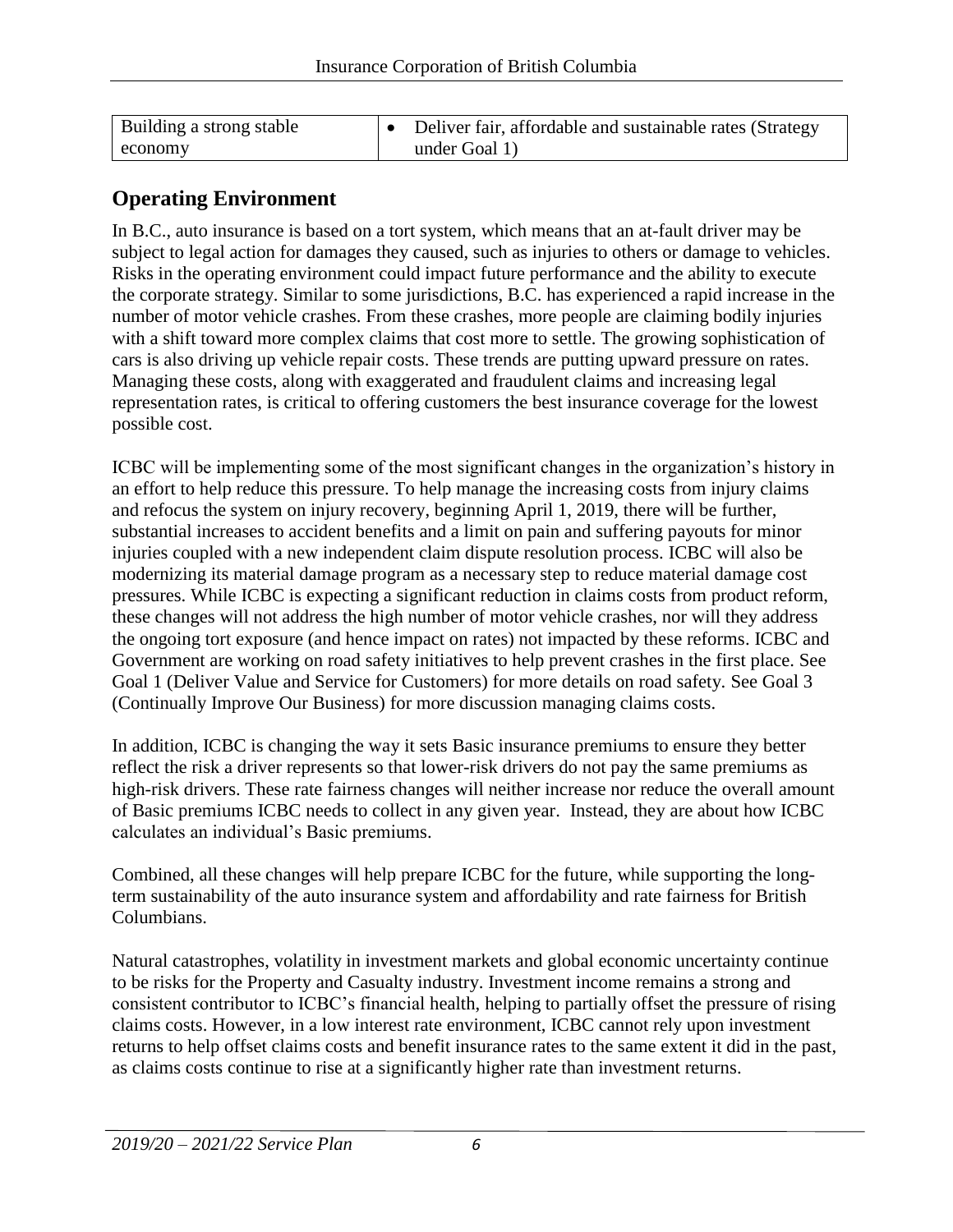| Building a strong stable | Deliver fair, affordable and sustainable rates (Strategy |
|--------------------------|----------------------------------------------------------|
| economy                  | under Goal 1)                                            |

### **Operating Environment**

In B.C., auto insurance is based on a tort system, which means that an at-fault driver may be subject to legal action for damages they caused, such as injuries to others or damage to vehicles. Risks in the operating environment could impact future performance and the ability to execute the corporate strategy. Similar to some jurisdictions, B.C. has experienced a rapid increase in the number of motor vehicle crashes. From these crashes, more people are claiming bodily injuries with a shift toward more complex claims that cost more to settle. The growing sophistication of cars is also driving up vehicle repair costs. These trends are putting upward pressure on rates. Managing these costs, along with exaggerated and fraudulent claims and increasing legal representation rates, is critical to offering customers the best insurance coverage for the lowest possible cost.

ICBC will be implementing some of the most significant changes in the organization's history in an effort to help reduce this pressure. To help manage the increasing costs from injury claims and refocus the system on injury recovery, beginning April 1, 2019, there will be further, substantial increases to accident benefits and a limit on pain and suffering payouts for minor injuries coupled with a new independent claim dispute resolution process. ICBC will also be modernizing its material damage program as a necessary step to reduce material damage cost pressures. While ICBC is expecting a significant reduction in claims costs from product reform, these changes will not address the high number of motor vehicle crashes, nor will they address the ongoing tort exposure (and hence impact on rates) not impacted by these reforms. ICBC and Government are working on road safety initiatives to help prevent crashes in the first place. See Goal 1 (Deliver Value and Service for Customers) for more details on road safety. See Goal 3 (Continually Improve Our Business) for more discussion managing claims costs.

In addition, ICBC is changing the way it sets Basic insurance premiums to ensure they better reflect the risk a driver represents so that lower-risk drivers do not pay the same premiums as high-risk drivers. These rate fairness changes will neither increase nor reduce the overall amount of Basic premiums ICBC needs to collect in any given year. Instead, they are about how ICBC calculates an individual's Basic premiums.

Combined, all these changes will help prepare ICBC for the future, while supporting the longterm sustainability of the auto insurance system and affordability and rate fairness for British Columbians.

Natural catastrophes, volatility in investment markets and global economic uncertainty continue to be risks for the Property and Casualty industry. Investment income remains a strong and consistent contributor to ICBC's financial health, helping to partially offset the pressure of rising claims costs. However, in a low interest rate environment, ICBC cannot rely upon investment returns to help offset claims costs and benefit insurance rates to the same extent it did in the past, as claims costs continue to rise at a significantly higher rate than investment returns.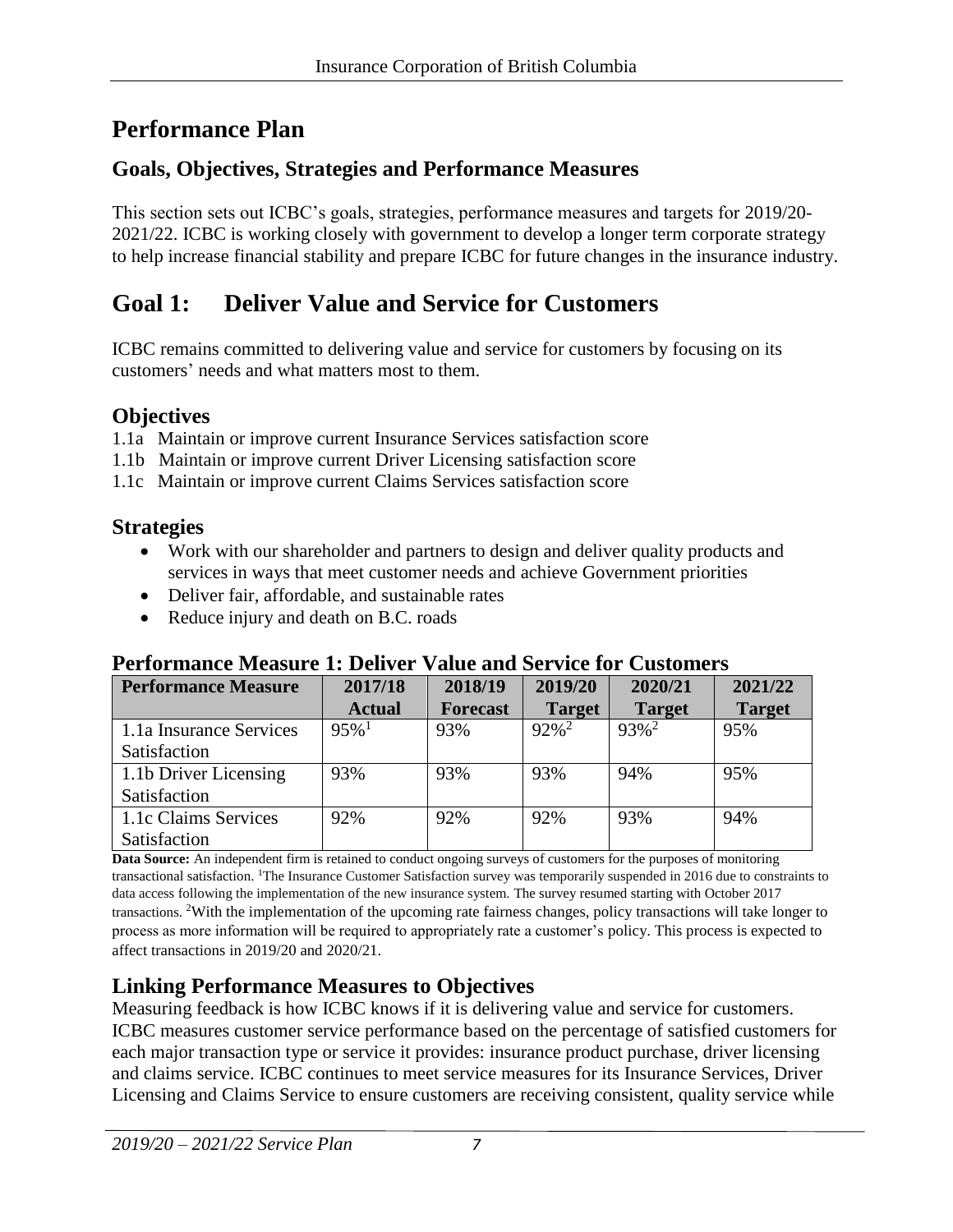# **Performance Plan**

# **Goals, Objectives, Strategies and Performance Measures**

This section sets out ICBC's goals, strategies, performance measures and targets for 2019/20- 2021/22. ICBC is working closely with government to develop a longer term corporate strategy to help increase financial stability and prepare ICBC for future changes in the insurance industry.

# **Goal 1: Deliver Value and Service for Customers**

ICBC remains committed to delivering value and service for customers by focusing on its customers' needs and what matters most to them.

# **Objectives**

1.1a Maintain or improve current Insurance Services satisfaction score

- 1.1b Maintain or improve current Driver Licensing satisfaction score
- 1.1c Maintain or improve current Claims Services satisfaction score

# **Strategies**

- Work with our shareholder and partners to design and deliver quality products and services in ways that meet customer needs and achieve Government priorities
- Deliver fair, affordable, and sustainable rates
- Reduce injury and death on B.C. roads

### **Performance Measure 1: Deliver Value and Service for Customers**

| <b>Performance Measure</b> | 2017/18             | 2018/19         | 2019/20             | 2020/21             | 2021/22       |
|----------------------------|---------------------|-----------------|---------------------|---------------------|---------------|
|                            | <b>Actual</b>       | <b>Forecast</b> | <b>Target</b>       | <b>Target</b>       | <b>Target</b> |
| 1.1a Insurance Services    | $95\%$ <sup>1</sup> | 93%             | $92\%$ <sup>2</sup> | $93\%$ <sup>2</sup> | 95%           |
| Satisfaction               |                     |                 |                     |                     |               |
| 1.1b Driver Licensing      | 93%                 | 93%             | 93%                 | 94%                 | 95%           |
| Satisfaction               |                     |                 |                     |                     |               |
| 1.1c Claims Services       | 92%                 | 92%             | 92%                 | 93%                 | 94%           |
| Satisfaction               |                     |                 |                     |                     |               |

**Data Source:** An independent firm is retained to conduct ongoing surveys of customers for the purposes of monitoring transactional satisfaction. <sup>1</sup>The Insurance Customer Satisfaction survey was temporarily suspended in 2016 due to constraints to data access following the implementation of the new insurance system. The survey resumed starting with October 2017 transactions. <sup>2</sup>With the implementation of the upcoming rate fairness changes, policy transactions will take longer to process as more information will be required to appropriately rate a customer's policy. This process is expected to affect transactions in 2019/20 and 2020/21.

# **Linking Performance Measures to Objectives**

Measuring feedback is how ICBC knows if it is delivering value and service for customers. ICBC measures customer service performance based on the percentage of satisfied customers for each major transaction type or service it provides: insurance product purchase, driver licensing and claims service. ICBC continues to meet service measures for its Insurance Services, Driver Licensing and Claims Service to ensure customers are receiving consistent, quality service while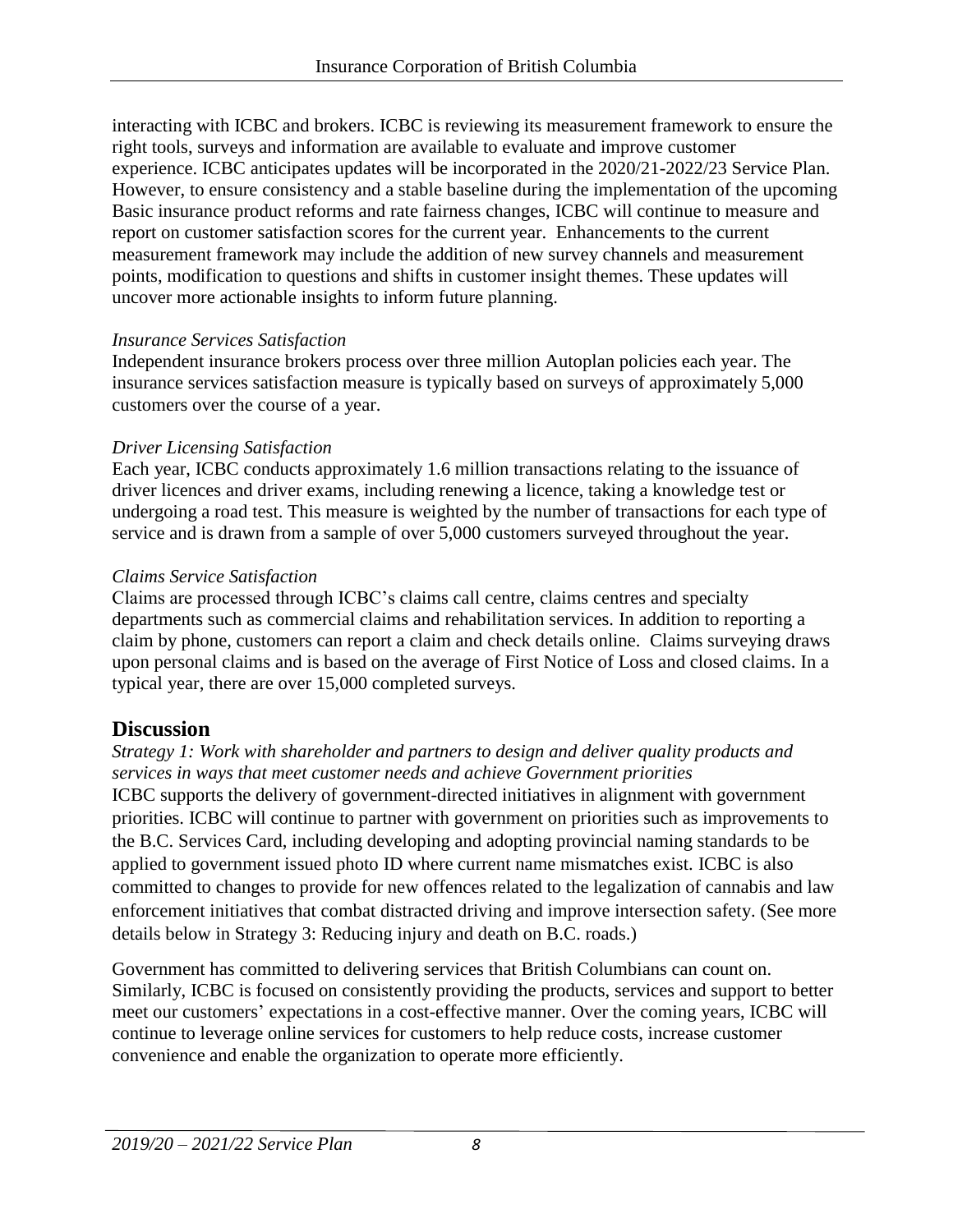interacting with ICBC and brokers. ICBC is reviewing its measurement framework to ensure the right tools, surveys and information are available to evaluate and improve customer experience. ICBC anticipates updates will be incorporated in the 2020/21-2022/23 Service Plan. However, to ensure consistency and a stable baseline during the implementation of the upcoming Basic insurance product reforms and rate fairness changes, ICBC will continue to measure and report on customer satisfaction scores for the current year. Enhancements to the current measurement framework may include the addition of new survey channels and measurement points, modification to questions and shifts in customer insight themes. These updates will uncover more actionable insights to inform future planning.

#### *Insurance Services Satisfaction*

Independent insurance brokers process over three million Autoplan policies each year. The insurance services satisfaction measure is typically based on surveys of approximately 5,000 customers over the course of a year.

#### *Driver Licensing Satisfaction*

Each year, ICBC conducts approximately 1.6 million transactions relating to the issuance of driver licences and driver exams, including renewing a licence, taking a knowledge test or undergoing a road test. This measure is weighted by the number of transactions for each type of service and is drawn from a sample of over 5,000 customers surveyed throughout the year.

#### *Claims Service Satisfaction*

Claims are processed through ICBC's claims call centre, claims centres and specialty departments such as commercial claims and rehabilitation services. In addition to reporting a claim by phone, customers can report a claim and check details online. Claims surveying draws upon personal claims and is based on the average of First Notice of Loss and closed claims. In a typical year, there are over 15,000 completed surveys.

#### **Discussion**

*Strategy 1: Work with shareholder and partners to design and deliver quality products and services in ways that meet customer needs and achieve Government priorities* ICBC supports the delivery of government-directed initiatives in alignment with government priorities. ICBC will continue to partner with government on priorities such as improvements to the B.C. Services Card, including developing and adopting provincial naming standards to be applied to government issued photo ID where current name mismatches exist. ICBC is also committed to changes to provide for new offences related to the legalization of cannabis and law enforcement initiatives that combat distracted driving and improve intersection safety. (See more details below in Strategy 3: Reducing injury and death on B.C. roads.)

Government has committed to delivering services that British Columbians can count on. Similarly, ICBC is focused on consistently providing the products, services and support to better meet our customers' expectations in a cost-effective manner. Over the coming years, ICBC will continue to leverage online services for customers to help reduce costs, increase customer convenience and enable the organization to operate more efficiently.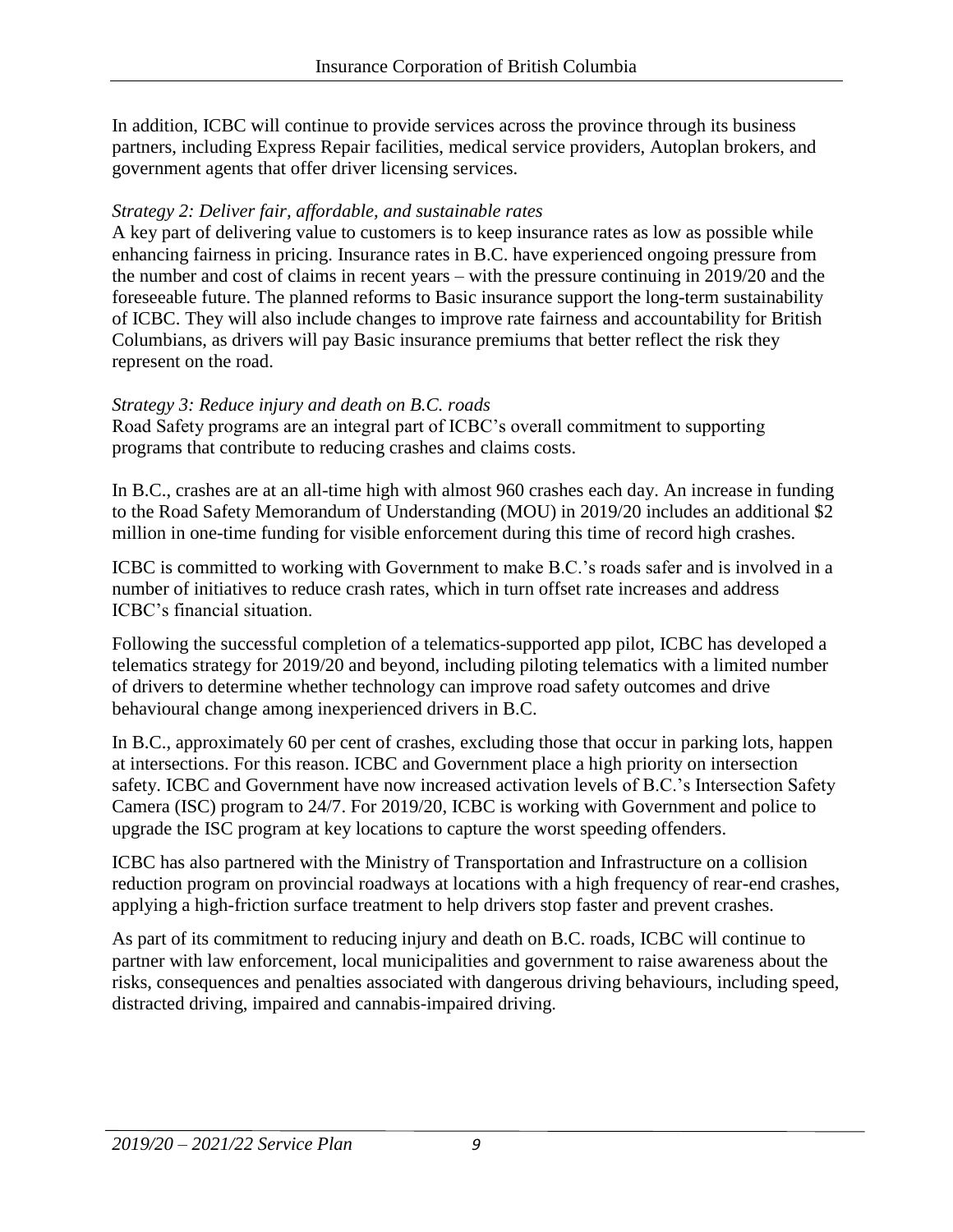In addition, ICBC will continue to provide services across the province through its business partners, including Express Repair facilities, medical service providers, Autoplan brokers, and government agents that offer driver licensing services.

#### *Strategy 2: Deliver fair, affordable, and sustainable rates*

A key part of delivering value to customers is to keep insurance rates as low as possible while enhancing fairness in pricing. Insurance rates in B.C. have experienced ongoing pressure from the number and cost of claims in recent years – with the pressure continuing in 2019/20 and the foreseeable future. The planned reforms to Basic insurance support the long-term sustainability of ICBC. They will also include changes to improve rate fairness and accountability for British Columbians, as drivers will pay Basic insurance premiums that better reflect the risk they represent on the road.

#### *Strategy 3: Reduce injury and death on B.C. roads*

Road Safety programs are an integral part of ICBC's overall commitment to supporting programs that contribute to reducing crashes and claims costs.

In B.C., crashes are at an all-time high with almost 960 crashes each day. An increase in funding to the Road Safety Memorandum of Understanding (MOU) in 2019/20 includes an additional \$2 million in one-time funding for visible enforcement during this time of record high crashes.

ICBC is committed to working with Government to make B.C.'s roads safer and is involved in a number of initiatives to reduce crash rates, which in turn offset rate increases and address ICBC's financial situation.

Following the successful completion of a telematics-supported app pilot, ICBC has developed a telematics strategy for 2019/20 and beyond, including piloting telematics with a limited number of drivers to determine whether technology can improve road safety outcomes and drive behavioural change among inexperienced drivers in B.C.

In B.C., approximately 60 per cent of crashes, excluding those that occur in parking lots, happen at intersections. For this reason. ICBC and Government place a high priority on intersection safety. ICBC and Government have now increased activation levels of B.C.'s Intersection Safety Camera (ISC) program to 24/7. For 2019/20, ICBC is working with Government and police to upgrade the ISC program at [key locations to capture the worst speeding offenders.](https://news.gov.bc.ca/releases/2018PSSG0015-000342)

ICBC has also partnered with the Ministry of Transportation and Infrastructure on a collision reduction program on provincial roadways at locations with a high frequency of rear-end crashes, applying a high-friction surface treatment to help drivers stop faster and prevent crashes.

As part of its commitment to reducing injury and death on B.C. roads, ICBC will continue to partner with law enforcement, local municipalities and government to raise awareness about the risks, consequences and penalties associated with dangerous driving behaviours, including speed, distracted driving, impaired and cannabis-impaired driving.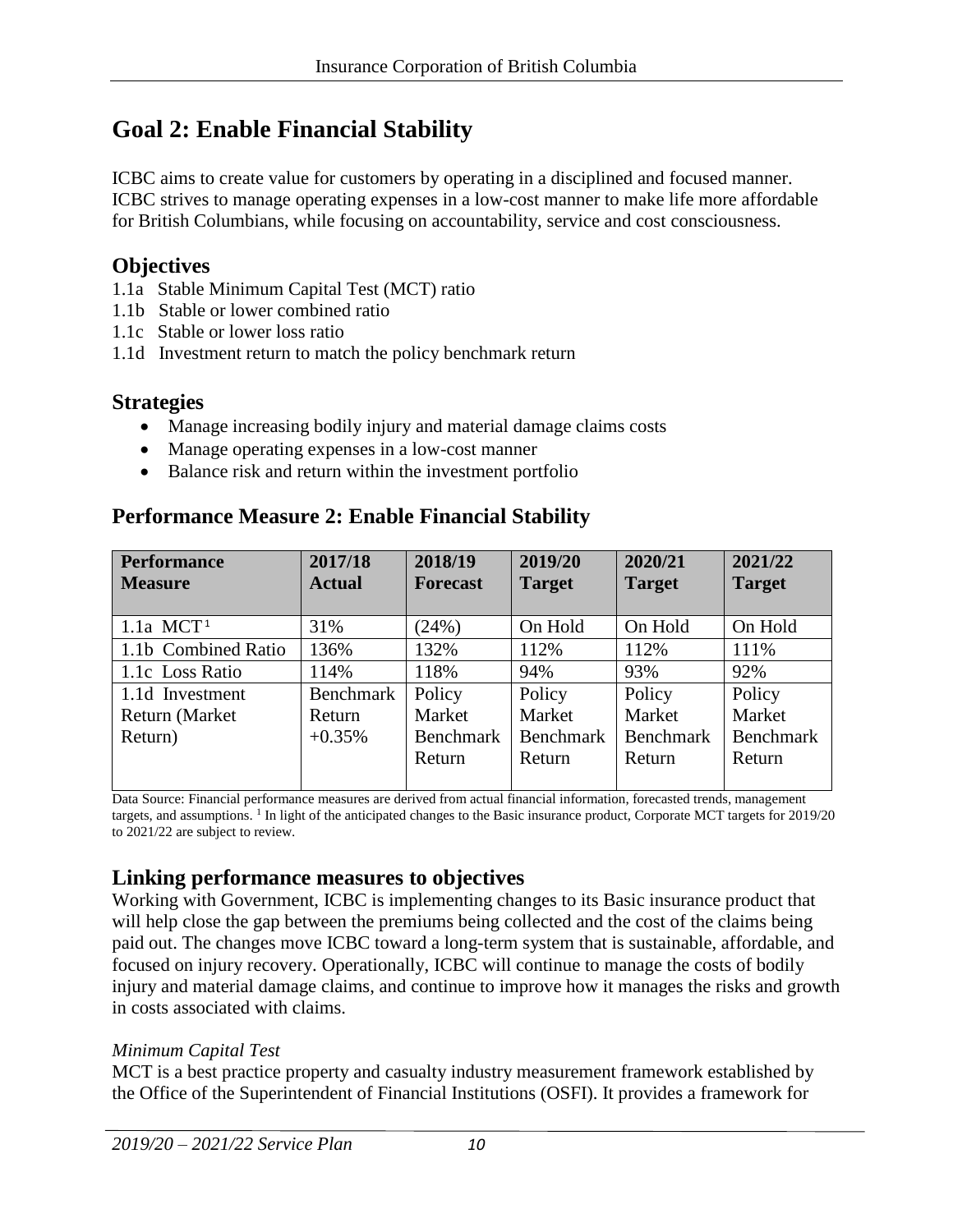# **Goal 2: Enable Financial Stability**

ICBC aims to create value for customers by operating in a disciplined and focused manner. ICBC strives to manage operating expenses in a low-cost manner to make life more affordable for British Columbians, while focusing on accountability, service and cost consciousness.

#### **Objectives**

- 1.1a Stable Minimum Capital Test (MCT) ratio
- 1.1b Stable or lower combined ratio
- 1.1c Stable or lower loss ratio
- 1.1d Investment return to match the policy benchmark return

#### **Strategies**

- Manage increasing bodily injury and material damage claims costs
- Manage operating expenses in a low-cost manner
- Balance risk and return within the investment portfolio

### **Performance Measure 2: Enable Financial Stability**

| <b>Performance</b><br><b>Measure</b> | 2017/18<br><b>Actual</b> | 2018/19<br><b>Forecast</b> | 2019/20<br><b>Target</b> | 2020/21<br><b>Target</b> | 2021/22<br><b>Target</b> |
|--------------------------------------|--------------------------|----------------------------|--------------------------|--------------------------|--------------------------|
| $1.1a$ MCT <sup>1</sup>              | 31%                      | (24%)                      | On Hold                  | On Hold                  | On Hold                  |
| 1.1b Combined Ratio                  | 136%                     | 132%                       | 112%                     | 112%                     | 111%                     |
| 1.1c Loss Ratio                      | 114%                     | 118%                       | 94%                      | 93%                      | 92%                      |
| 1.1d Investment                      | Benchmark                | Policy                     | Policy                   | Policy                   | Policy                   |
| Return (Market                       | Return                   | Market                     | Market                   | Market                   | Market                   |
| Return)                              | $+0.35%$                 | Benchmark                  | Benchmark                | <b>Benchmark</b>         | <b>Benchmark</b>         |
|                                      |                          | Return                     | Return                   | Return                   | Return                   |

Data Source: Financial performance measures are derived from actual financial information, forecasted trends, management targets, and assumptions. <sup>1</sup> In light of the anticipated changes to the Basic insurance product, Corporate MCT targets for 2019/20 to 2021/22 are subject to review.

### **Linking performance measures to objectives**

Working with Government, ICBC is implementing changes to its Basic insurance product that will help close the gap between the premiums being collected and the cost of the claims being paid out. The changes move ICBC toward a long-term system that is sustainable, affordable, and focused on injury recovery. Operationally, ICBC will continue to manage the costs of bodily injury and material damage claims, and continue to improve how it manages the risks and growth in costs associated with claims.

#### *Minimum Capital Test*

MCT is a best practice property and casualty industry measurement framework established by the Office of the Superintendent of Financial Institutions (OSFI). It provides a framework for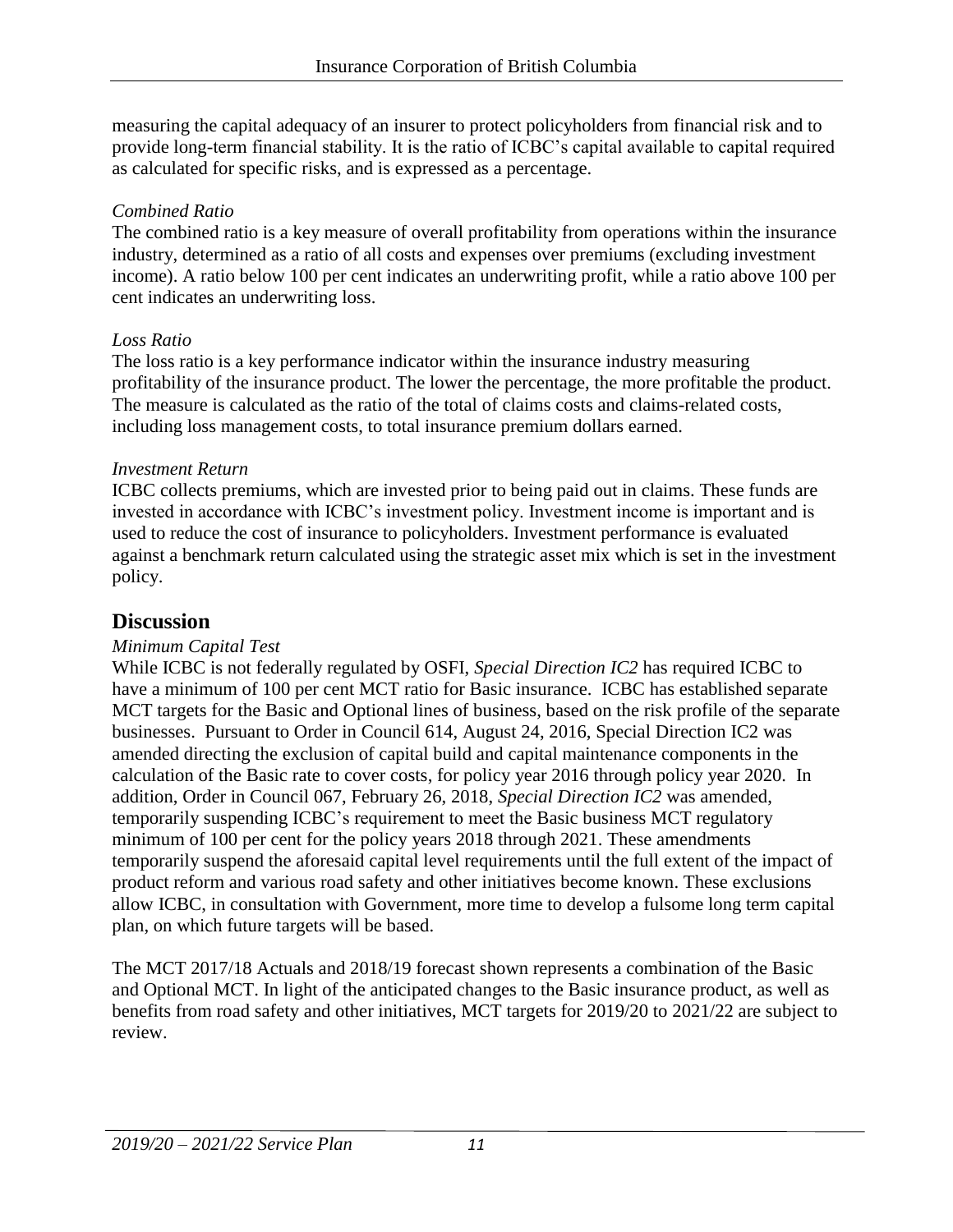measuring the capital adequacy of an insurer to protect policyholders from financial risk and to provide long-term financial stability. It is the ratio of ICBC's capital available to capital required as calculated for specific risks, and is expressed as a percentage.

#### *Combined Ratio*

The combined ratio is a key measure of overall profitability from operations within the insurance industry, determined as a ratio of all costs and expenses over premiums (excluding investment income). A ratio below 100 per cent indicates an underwriting profit, while a ratio above 100 per cent indicates an underwriting loss.

#### *Loss Ratio*

The loss ratio is a key performance indicator within the insurance industry measuring profitability of the insurance product. The lower the percentage, the more profitable the product. The measure is calculated as the ratio of the total of claims costs and claims-related costs, including loss management costs, to total insurance premium dollars earned.

#### *Investment Return*

ICBC collects premiums, which are invested prior to being paid out in claims. These funds are invested in accordance with ICBC's investment policy. Investment income is important and is used to reduce the cost of insurance to policyholders. Investment performance is evaluated against a benchmark return calculated using the strategic asset mix which is set in the investment policy.

### **Discussion**

#### *Minimum Capital Test*

While ICBC is not federally regulated by OSFI, *Special Direction IC2* has required ICBC to have a minimum of 100 per cent MCT ratio for Basic insurance. ICBC has established separate MCT targets for the Basic and Optional lines of business, based on the risk profile of the separate businesses. Pursuant to Order in Council 614, August 24, 2016, Special Direction IC2 was amended directing the exclusion of capital build and capital maintenance components in the calculation of the Basic rate to cover costs, for policy year 2016 through policy year 2020. In addition, Order in Council 067, February 26, 2018, *Special Direction IC2* was amended, temporarily suspending ICBC's requirement to meet the Basic business MCT regulatory minimum of 100 per cent for the policy years 2018 through 2021. These amendments temporarily suspend the aforesaid capital level requirements until the full extent of the impact of product reform and various road safety and other initiatives become known. These exclusions allow ICBC, in consultation with Government, more time to develop a fulsome long term capital plan, on which future targets will be based.

The MCT 2017/18 Actuals and 2018/19 forecast shown represents a combination of the Basic and Optional MCT. In light of the anticipated changes to the Basic insurance product, as well as benefits from road safety and other initiatives, MCT targets for 2019/20 to 2021/22 are subject to review.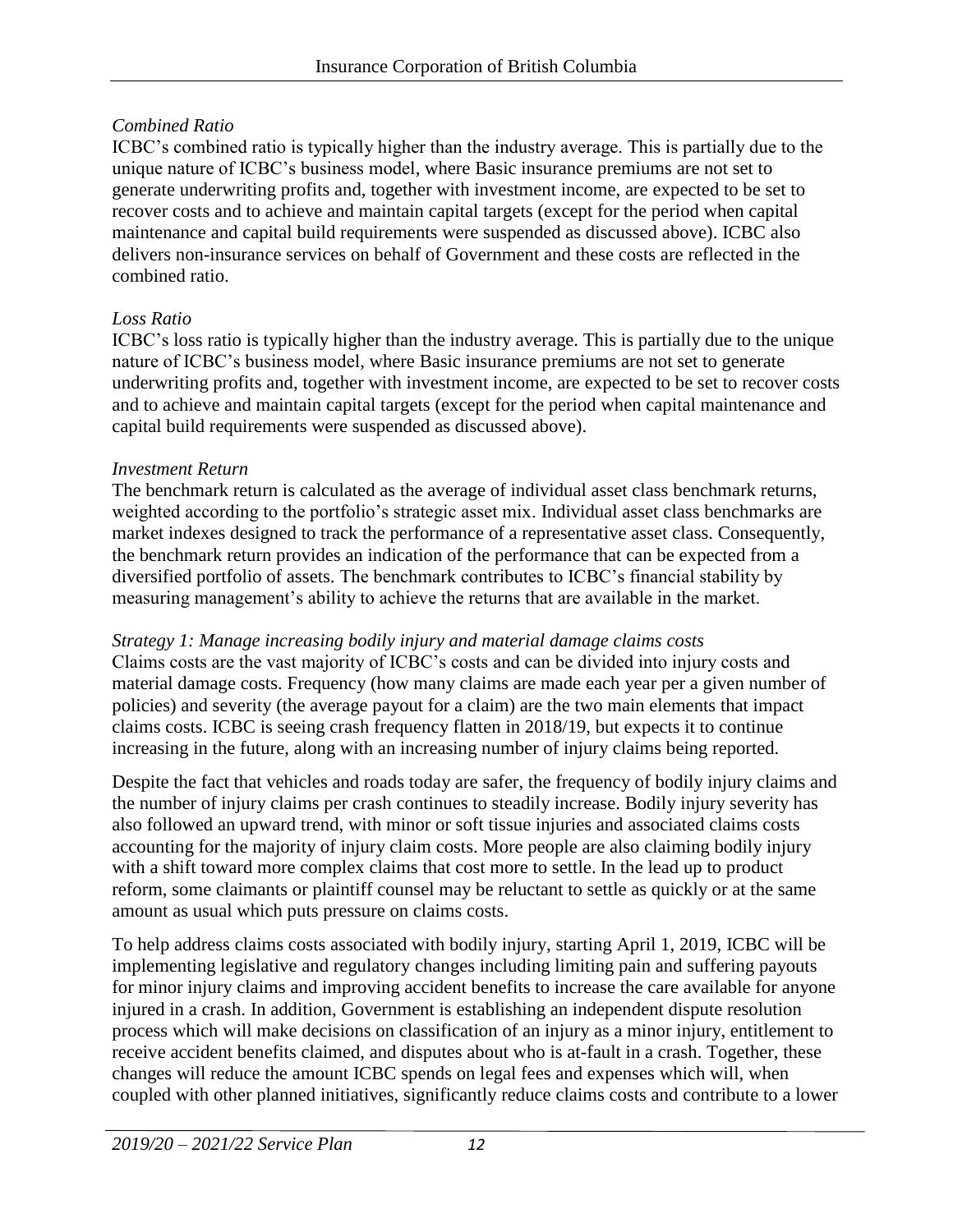#### *Combined Ratio*

ICBC's combined ratio is typically higher than the industry average. This is partially due to the unique nature of ICBC's business model, where Basic insurance premiums are not set to generate underwriting profits and, together with investment income, are expected to be set to recover costs and to achieve and maintain capital targets (except for the period when capital maintenance and capital build requirements were suspended as discussed above). ICBC also delivers non-insurance services on behalf of Government and these costs are reflected in the combined ratio.

#### *Loss Ratio*

ICBC's loss ratio is typically higher than the industry average. This is partially due to the unique nature of ICBC's business model, where Basic insurance premiums are not set to generate underwriting profits and, together with investment income, are expected to be set to recover costs and to achieve and maintain capital targets (except for the period when capital maintenance and capital build requirements were suspended as discussed above).

#### *Investment Return*

The benchmark return is calculated as the average of individual asset class benchmark returns, weighted according to the portfolio's strategic asset mix. Individual asset class benchmarks are market indexes designed to track the performance of a representative asset class. Consequently, the benchmark return provides an indication of the performance that can be expected from a diversified portfolio of assets. The benchmark contributes to ICBC's financial stability by measuring management's ability to achieve the returns that are available in the market.

#### *Strategy 1: Manage increasing bodily injury and material damage claims costs*

Claims costs are the vast majority of ICBC's costs and can be divided into injury costs and material damage costs. Frequency (how many claims are made each year per a given number of policies) and severity (the average payout for a claim) are the two main elements that impact claims costs. ICBC is seeing crash frequency flatten in 2018/19, but expects it to continue increasing in the future, along with an increasing number of injury claims being reported.

Despite the fact that vehicles and roads today are safer, the frequency of bodily injury claims and the number of injury claims per crash continues to steadily increase. Bodily injury severity has also followed an upward trend, with minor or soft tissue injuries and associated claims costs accounting for the majority of injury claim costs. More people are also claiming bodily injury with a shift toward more complex claims that cost more to settle. In the lead up to product reform, some claimants or plaintiff counsel may be reluctant to settle as quickly or at the same amount as usual which puts pressure on claims costs.

To help address claims costs associated with bodily injury, starting April 1, 2019, ICBC will be implementing legislative and regulatory changes including limiting pain and suffering payouts for minor injury claims and improving accident benefits to increase the care available for anyone injured in a crash. In addition, Government is establishing an independent dispute resolution process which will make decisions on classification of an injury as a minor injury, entitlement to receive accident benefits claimed, and disputes about who is at-fault in a crash. Together, these changes will reduce the amount ICBC spends on legal fees and expenses which will, when coupled with other planned initiatives, significantly reduce claims costs and contribute to a lower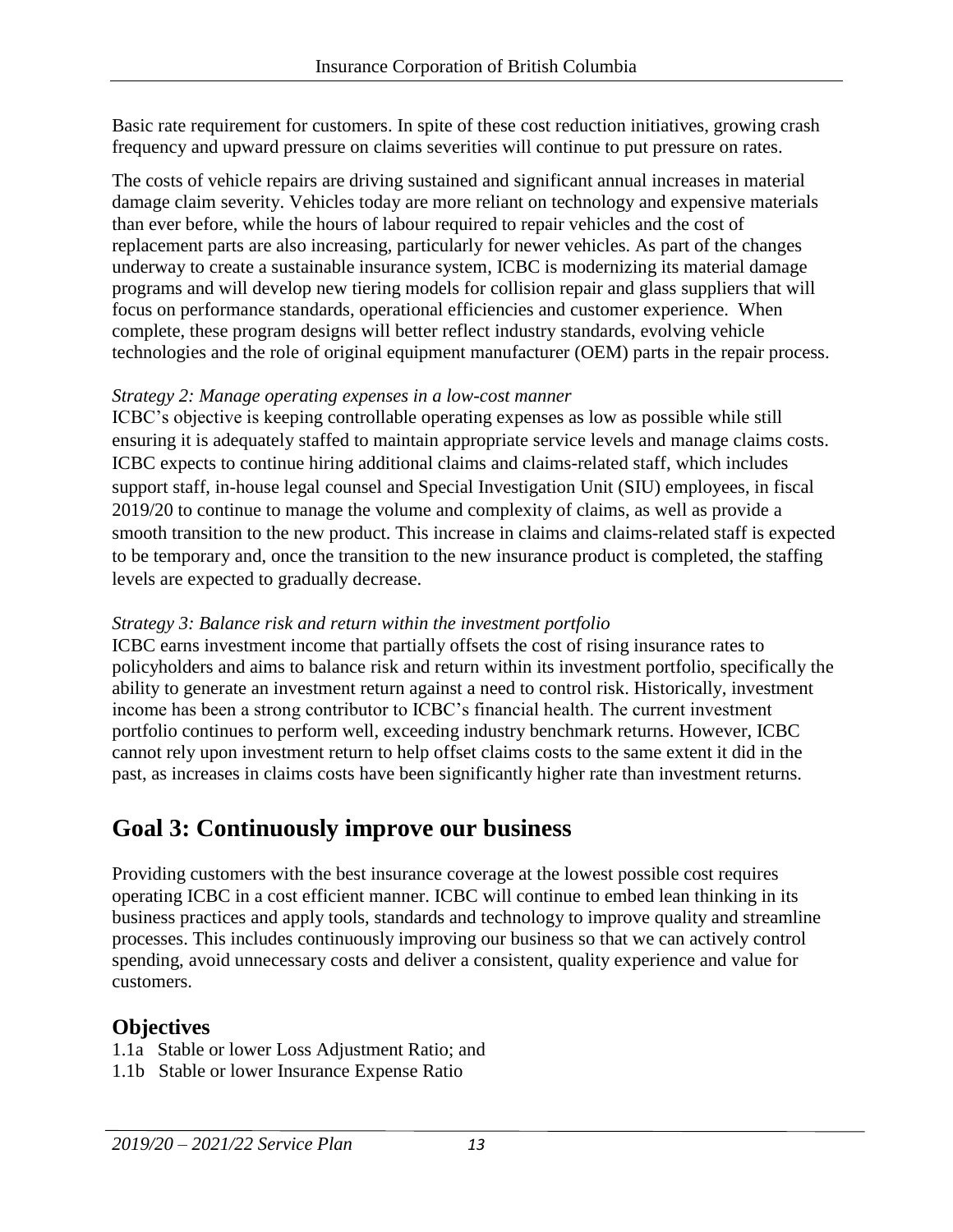Basic rate requirement for customers. In spite of these cost reduction initiatives, growing crash frequency and upward pressure on claims severities will continue to put pressure on rates.

The costs of vehicle repairs are driving sustained and significant annual increases in material damage claim severity. Vehicles today are more reliant on technology and expensive materials than ever before, while the hours of labour required to repair vehicles and the cost of replacement parts are also increasing, particularly for newer vehicles. As part of the changes underway to create a sustainable insurance system, ICBC is modernizing its material damage programs and will develop new tiering models for collision repair and glass suppliers that will focus on performance standards, operational efficiencies and customer experience. When complete, these program designs will better reflect industry standards, evolving vehicle technologies and the role of original equipment manufacturer (OEM) parts in the repair process.

#### *Strategy 2: Manage operating expenses in a low-cost manner*

ICBC's objective is keeping controllable operating expenses as low as possible while still ensuring it is adequately staffed to maintain appropriate service levels and manage claims costs. ICBC expects to continue hiring additional claims and claims-related staff, which includes support staff, in-house legal counsel and Special Investigation Unit (SIU) employees, in fiscal 2019/20 to continue to manage the volume and complexity of claims, as well as provide a smooth transition to the new product. This increase in claims and claims-related staff is expected to be temporary and, once the transition to the new insurance product is completed, the staffing levels are expected to gradually decrease.

#### *Strategy 3: Balance risk and return within the investment portfolio*

ICBC earns investment income that partially offsets the cost of rising insurance rates to policyholders and aims to balance risk and return within its investment portfolio, specifically the ability to generate an investment return against a need to control risk. Historically, investment income has been a strong contributor to ICBC's financial health. The current investment portfolio continues to perform well, exceeding industry benchmark returns. However, ICBC cannot rely upon investment return to help offset claims costs to the same extent it did in the past, as increases in claims costs have been significantly higher rate than investment returns.

# **Goal 3: Continuously improve our business**

Providing customers with the best insurance coverage at the lowest possible cost requires operating ICBC in a cost efficient manner. ICBC will continue to embed lean thinking in its business practices and apply tools, standards and technology to improve quality and streamline processes. This includes continuously improving our business so that we can actively control spending, avoid unnecessary costs and deliver a consistent, quality experience and value for customers.

### **Objectives**

- 1.1a Stable or lower Loss Adjustment Ratio; and
- 1.1b Stable or lower Insurance Expense Ratio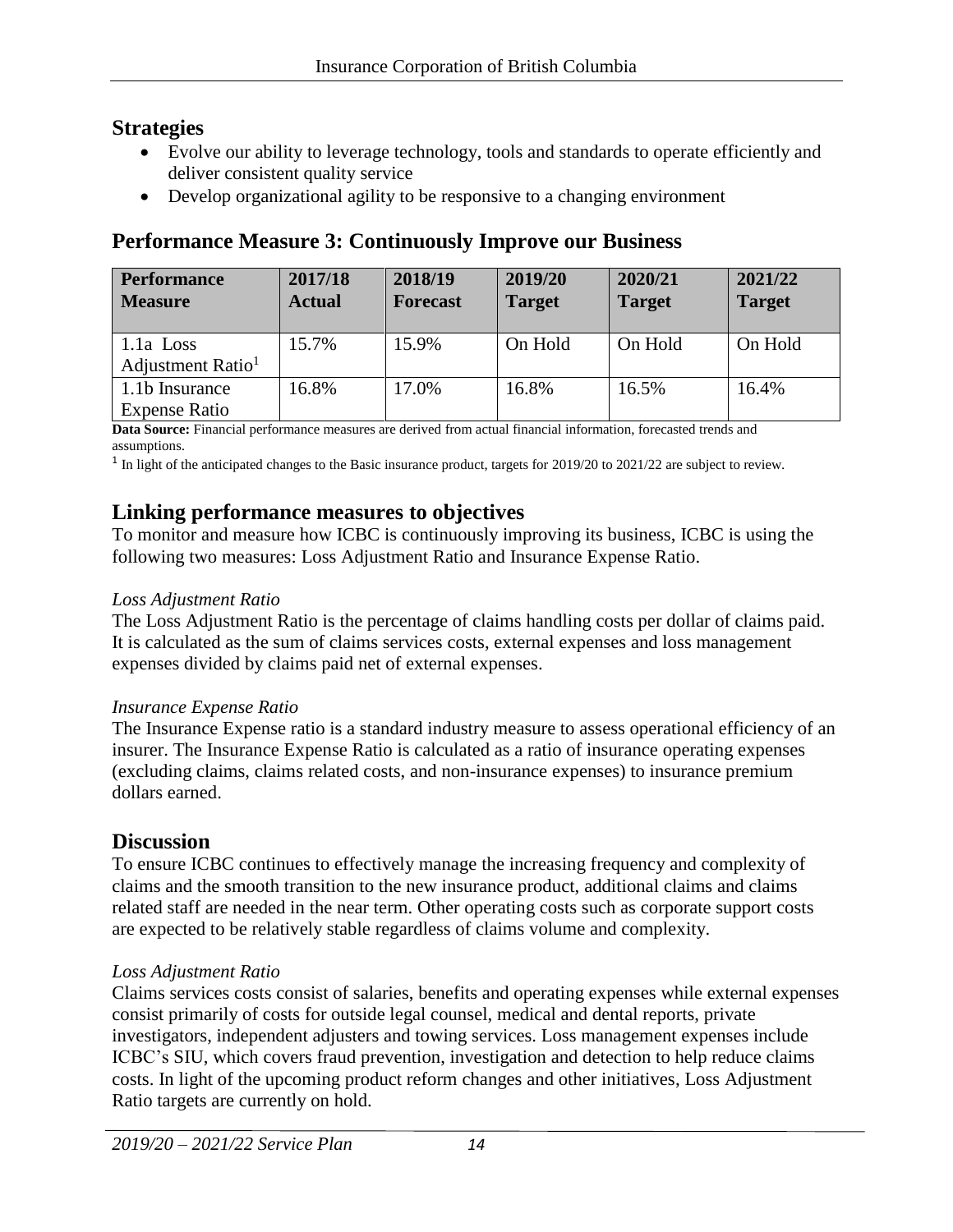### **Strategies**

- Evolve our ability to leverage technology, tools and standards to operate efficiently and deliver consistent quality service
- Develop organizational agility to be responsive to a changing environment

# **Performance Measure 3: Continuously Improve our Business**

| <b>Performance</b><br><b>Measure</b> | 2017/18<br><b>Actual</b> | 2018/19<br><b>Forecast</b> | 2019/20<br><b>Target</b> | 2020/21<br><b>Target</b> | 2021/22<br><b>Target</b> |
|--------------------------------------|--------------------------|----------------------------|--------------------------|--------------------------|--------------------------|
| $1.1a$ Loss                          | 15.7%                    | 15.9%                      | On Hold                  | On Hold                  | On Hold                  |
| Adjustment Ratio <sup>1</sup>        |                          |                            |                          |                          |                          |
| 1.1b Insurance                       | 16.8%                    | 17.0%                      | 16.8%                    | 16.5%                    | 16.4%                    |
| <b>Expense Ratio</b>                 |                          |                            |                          |                          |                          |

**Data Source:** Financial performance measures are derived from actual financial information, forecasted trends and assumptions.

 $1$  In light of the anticipated changes to the Basic insurance product, targets for 2019/20 to 2021/22 are subject to review.

### **Linking performance measures to objectives**

To monitor and measure how ICBC is continuously improving its business, ICBC is using the following two measures: Loss Adjustment Ratio and Insurance Expense Ratio.

#### *Loss Adjustment Ratio*

The Loss Adjustment Ratio is the percentage of claims handling costs per dollar of claims paid. It is calculated as the sum of claims services costs, external expenses and loss management expenses divided by claims paid net of external expenses.

#### *Insurance Expense Ratio*

The Insurance Expense ratio is a standard industry measure to assess operational efficiency of an insurer. The Insurance Expense Ratio is calculated as a ratio of insurance operating expenses (excluding claims, claims related costs, and non-insurance expenses) to insurance premium dollars earned.

# **Discussion**

To ensure ICBC continues to effectively manage the increasing frequency and complexity of claims and the smooth transition to the new insurance product, additional claims and claims related staff are needed in the near term. Other operating costs such as corporate support costs are expected to be relatively stable regardless of claims volume and complexity.

#### *Loss Adjustment Ratio*

Claims services costs consist of salaries, benefits and operating expenses while external expenses consist primarily of costs for outside legal counsel, medical and dental reports, private investigators, independent adjusters and towing services. Loss management expenses include ICBC's SIU, which covers fraud prevention, investigation and detection to help reduce claims costs. In light of the upcoming product reform changes and other initiatives, Loss Adjustment Ratio targets are currently on hold.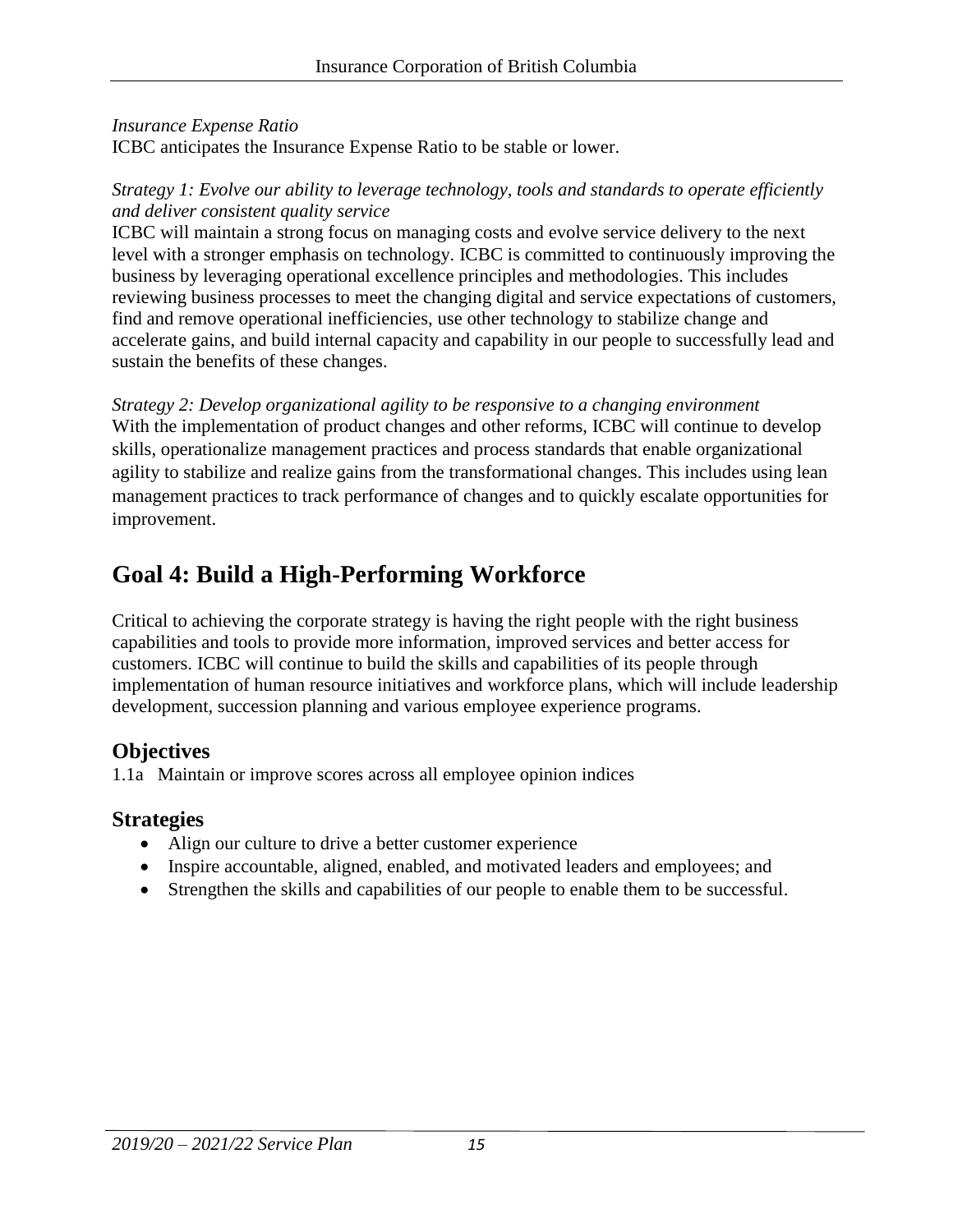#### *Insurance Expense Ratio*

ICBC anticipates the Insurance Expense Ratio to be stable or lower.

#### *Strategy 1: Evolve our ability to leverage technology, tools and standards to operate efficiently and deliver consistent quality service*

ICBC will maintain a strong focus on managing costs and evolve service delivery to the next level with a stronger emphasis on technology. ICBC is committed to continuously improving the business by leveraging operational excellence principles and methodologies. This includes reviewing business processes to meet the changing digital and service expectations of customers, find and remove operational inefficiencies, use other technology to stabilize change and accelerate gains, and build internal capacity and capability in our people to successfully lead and sustain the benefits of these changes.

*Strategy 2: Develop organizational agility to be responsive to a changing environment*  With the implementation of product changes and other reforms, ICBC will continue to develop skills, operationalize management practices and process standards that enable organizational agility to stabilize and realize gains from the transformational changes. This includes using lean management practices to track performance of changes and to quickly escalate opportunities for improvement.

# **Goal 4: Build a High-Performing Workforce**

Critical to achieving the corporate strategy is having the right people with the right business capabilities and tools to provide more information, improved services and better access for customers. ICBC will continue to build the skills and capabilities of its people through implementation of human resource initiatives and workforce plans, which will include leadership development, succession planning and various employee experience programs.

# **Objectives**

1.1a Maintain or improve scores across all employee opinion indices

# **Strategies**

- Align our culture to drive a better customer experience
- Inspire accountable, aligned, enabled, and motivated leaders and employees; and
- Strengthen the skills and capabilities of our people to enable them to be successful.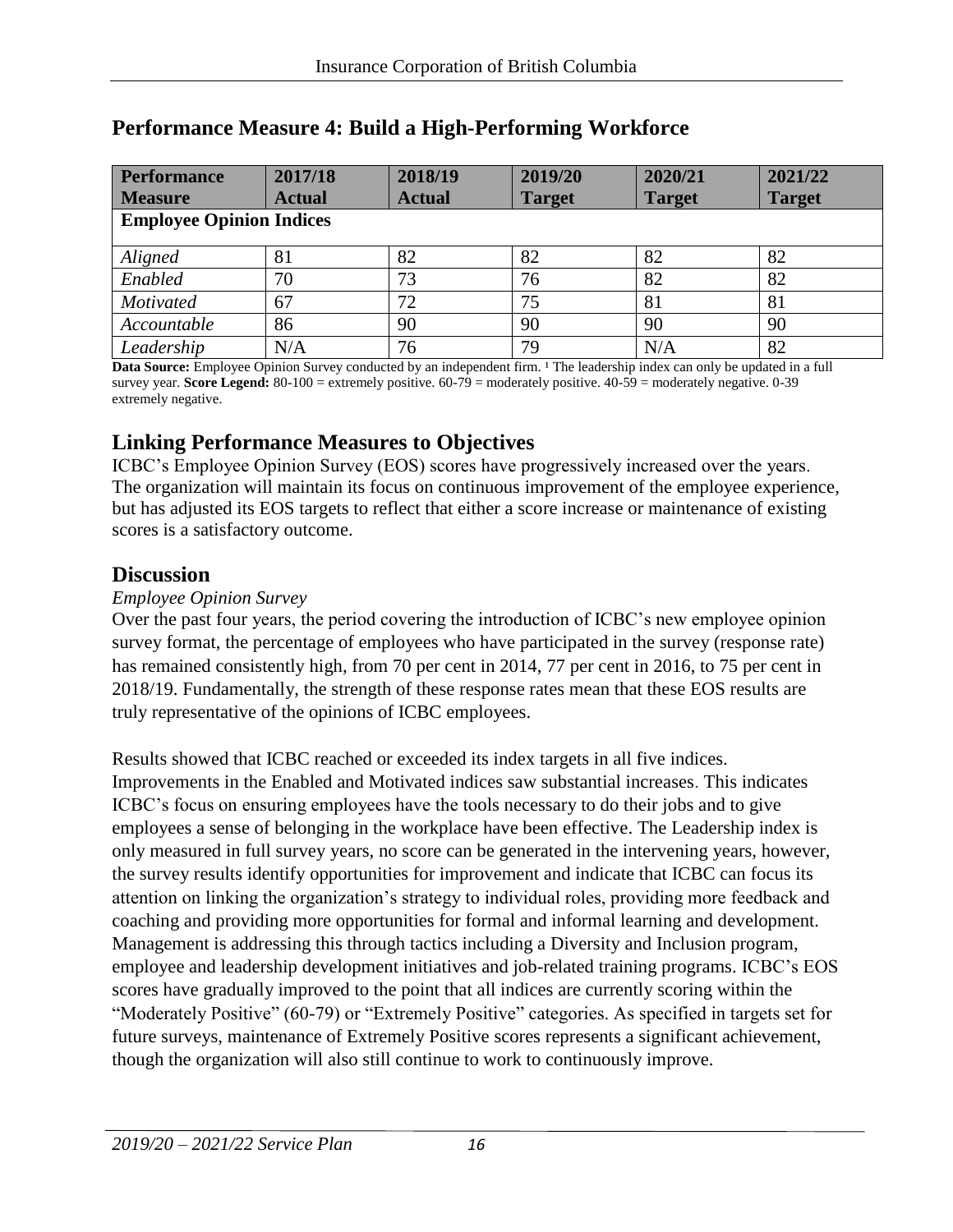| <b>Performance</b>              | 2017/18       | 2018/19       | 2019/20       | 2020/21       | 2021/22       |
|---------------------------------|---------------|---------------|---------------|---------------|---------------|
| <b>Measure</b>                  | <b>Actual</b> | <b>Actual</b> | <b>Target</b> | <b>Target</b> | <b>Target</b> |
| <b>Employee Opinion Indices</b> |               |               |               |               |               |
| Aligned                         | 81            | 82            | 82            | 82            | 82            |
| Enabled                         | 70            | 73            | 76            | 82            | 82            |
| <b>Motivated</b>                | 67            | 72            | 75            | 81            | 81            |
| Accountable                     | 86            | 90            | 90            | 90            | 90            |
| Leadership                      | N/A           | 76            | 79            | N/A           | 82            |

# **Performance Measure 4: Build a High-Performing Workforce**

**Data Source:** Employee Opinion Survey conducted by an independent firm. <sup>1</sup> The leadership index can only be updated in a full survey year. **Score Legend:** 80-100 = extremely positive. 60-79 = moderately positive. 40-59 = moderately negative. 0-39 extremely negative.

### **Linking Performance Measures to Objectives**

ICBC's Employee Opinion Survey (EOS) scores have progressively increased over the years. The organization will maintain its focus on continuous improvement of the employee experience, but has adjusted its EOS targets to reflect that either a score increase or maintenance of existing scores is a satisfactory outcome.

### **Discussion**

#### *Employee Opinion Survey*

Over the past four years, the period covering the introduction of ICBC's new employee opinion survey format, the percentage of employees who have participated in the survey (response rate) has remained consistently high, from 70 per cent in 2014, 77 per cent in 2016, to 75 per cent in 2018/19. Fundamentally, the strength of these response rates mean that these EOS results are truly representative of the opinions of ICBC employees.

Results showed that ICBC reached or exceeded its index targets in all five indices. Improvements in the Enabled and Motivated indices saw substantial increases. This indicates ICBC's focus on ensuring employees have the tools necessary to do their jobs and to give employees a sense of belonging in the workplace have been effective. The Leadership index is only measured in full survey years, no score can be generated in the intervening years, however, the survey results identify opportunities for improvement and indicate that ICBC can focus its attention on linking the organization's strategy to individual roles, providing more feedback and coaching and providing more opportunities for formal and informal learning and development. Management is addressing this through tactics including a Diversity and Inclusion program, employee and leadership development initiatives and job-related training programs. ICBC's EOS scores have gradually improved to the point that all indices are currently scoring within the "Moderately Positive" (60-79) or "Extremely Positive" categories. As specified in targets set for future surveys, maintenance of Extremely Positive scores represents a significant achievement, though the organization will also still continue to work to continuously improve.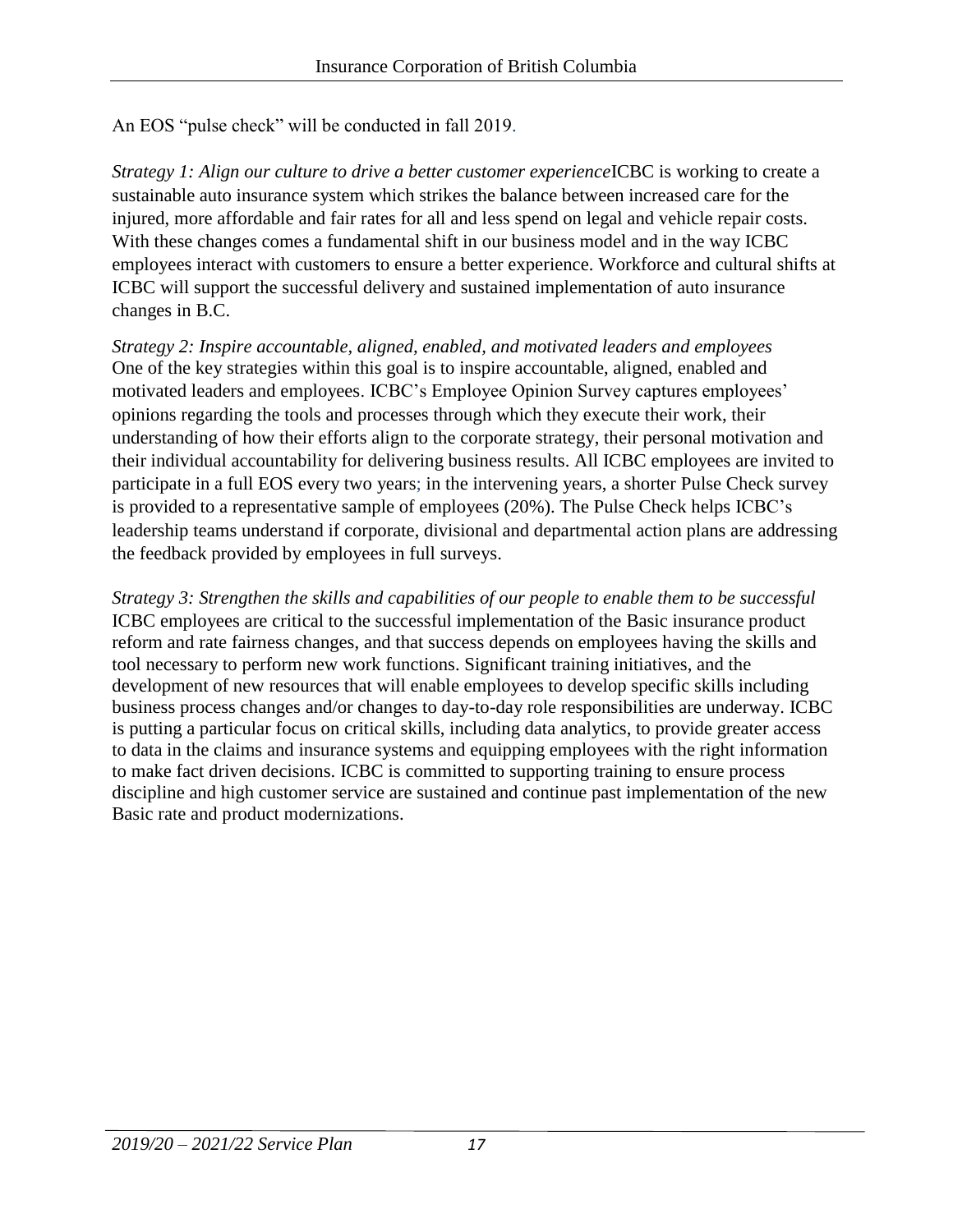An EOS "pulse check" will be conducted in fall 2019.

*Strategy 1: Align our culture to drive a better customer experience* **ICBC** is working to create a sustainable auto insurance system which strikes the balance between increased care for the injured, more affordable and fair rates for all and less spend on legal and vehicle repair costs. With these changes comes a fundamental shift in our business model and in the way ICBC employees interact with customers to ensure a better experience. Workforce and cultural shifts at ICBC will support the successful delivery and sustained implementation of auto insurance changes in B.C.

*Strategy 2: Inspire accountable, aligned, enabled, and motivated leaders and employees* One of the key strategies within this goal is to inspire accountable, aligned, enabled and motivated leaders and employees. ICBC's Employee Opinion Survey captures employees' opinions regarding the tools and processes through which they execute their work, their understanding of how their efforts align to the corporate strategy, their personal motivation and their individual accountability for delivering business results. All ICBC employees are invited to participate in a full EOS every two years; in the intervening years, a shorter Pulse Check survey is provided to a representative sample of employees (20%). The Pulse Check helps ICBC's leadership teams understand if corporate, divisional and departmental action plans are addressing the feedback provided by employees in full surveys.

*Strategy 3: Strengthen the skills and capabilities of our people to enable them to be successful* ICBC employees are critical to the successful implementation of the Basic insurance product reform and rate fairness changes, and that success depends on employees having the skills and tool necessary to perform new work functions. Significant training initiatives, and the development of new resources that will enable employees to develop specific skills including business process changes and/or changes to day-to-day role responsibilities are underway. ICBC is putting a particular focus on critical skills, including data analytics, to provide greater access to data in the claims and insurance systems and equipping employees with the right information to make fact driven decisions. ICBC is committed to supporting training to ensure process discipline and high customer service are sustained and continue past implementation of the new Basic rate and product modernizations.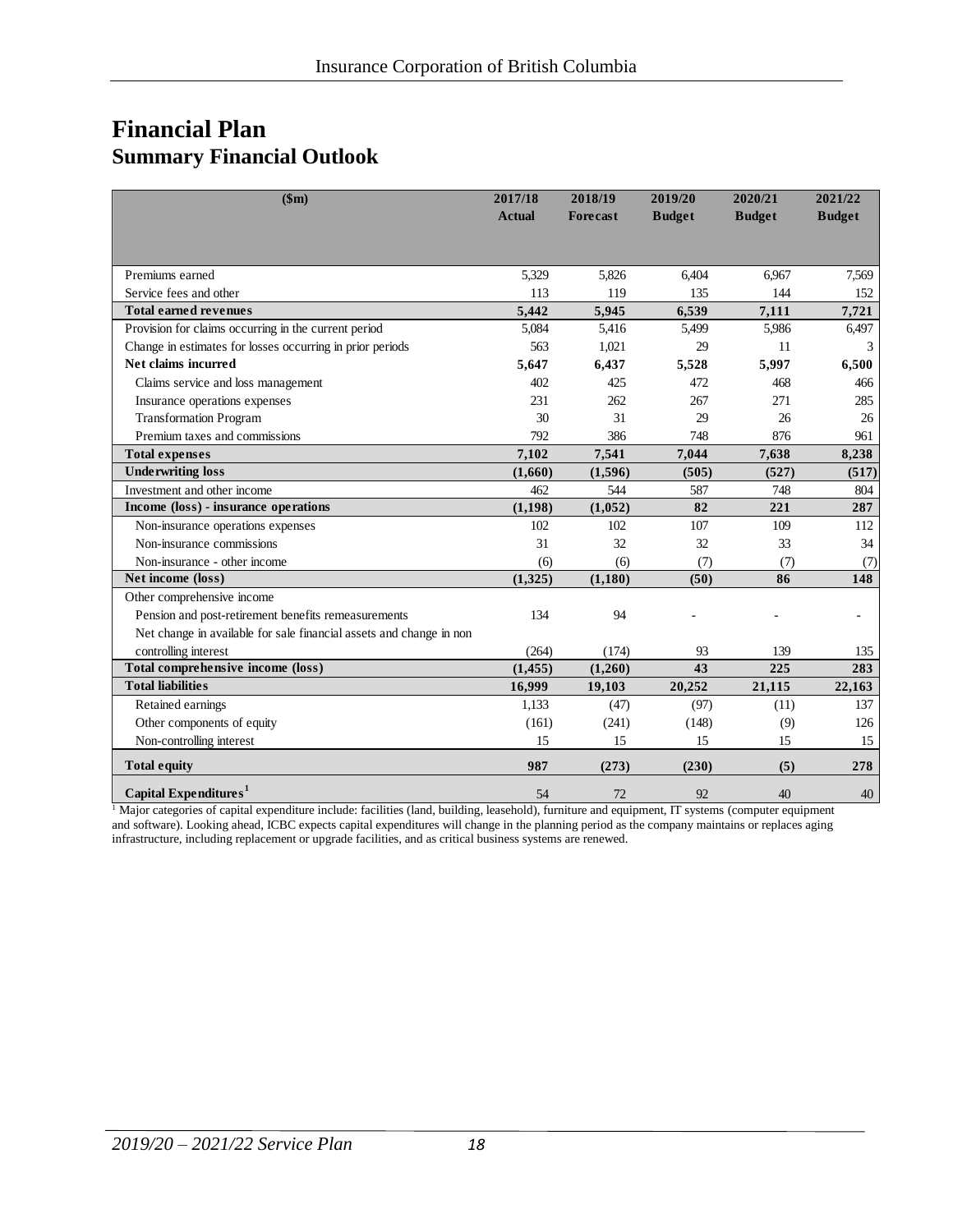# **Financial Plan Summary Financial Outlook**

| \$m)                                                                | 2017/18<br><b>Actual</b> | 2018/19<br>Forecast | 2019/20<br><b>Budget</b> | 2020/21<br><b>Budget</b> | 2021/22<br><b>Budget</b> |
|---------------------------------------------------------------------|--------------------------|---------------------|--------------------------|--------------------------|--------------------------|
|                                                                     |                          |                     |                          |                          |                          |
| Premiums earned                                                     | 5,329                    | 5,826               | 6.404                    | 6,967                    | 7,569                    |
| Service fees and other                                              | 113                      | 119                 | 135                      | 144                      | 152                      |
| <b>Total earned revenues</b>                                        | 5.442                    | 5,945               | 6,539                    | 7,111                    | 7,721                    |
| Provision for claims occurring in the current period                | 5,084                    | 5,416               | 5,499                    | 5,986                    | 6,497                    |
| Change in estimates for losses occurring in prior periods           | 563                      | 1,021               | 29                       | 11                       | 3                        |
| Net claims incurred                                                 | 5,647                    | 6,437               | 5,528                    | 5,997                    | 6,500                    |
| Claims service and loss management                                  | 402                      | 425                 | 472                      | 468                      | 466                      |
| Insurance operations expenses                                       | 231                      | 262                 | 267                      | 271                      | 285                      |
| <b>Transformation Program</b>                                       | 30                       | 31                  | 29                       | 26                       | 26                       |
| Premium taxes and commissions                                       | 792                      | 386                 | 748                      | 876                      | 961                      |
| <b>Total expenses</b>                                               | 7,102                    | 7,541               | 7,044                    | 7,638                    | 8,238                    |
| <b>Underwriting loss</b>                                            | (1,660)                  | (1,596)             | (505)                    | (527)                    | (517)                    |
| Investment and other income                                         | 462                      | 544                 | 587                      | 748                      | 804                      |
| Income (loss) - insurance operations                                | (1,198)                  | (1,052)             | 82                       | 221                      | 287                      |
| Non-insurance operations expenses                                   | 102                      | 102                 | 107                      | 109                      | 112                      |
| Non-insurance commissions                                           | 31                       | 32                  | 32                       | 33                       | 34                       |
| Non-insurance - other income                                        | (6)                      | (6)                 | (7)                      | (7)                      | (7)                      |
| Net income (loss)                                                   | (1,325)                  | (1,180)             | (50)                     | 86                       | 148                      |
| Other comprehensive income                                          |                          |                     |                          |                          |                          |
| Pension and post-retirement benefits remeasurements                 | 134                      | 94                  |                          |                          |                          |
| Net change in available for sale financial assets and change in non |                          |                     |                          |                          |                          |
| controlling interest                                                | (264)                    | (174)               | 93                       | 139                      | 135                      |
| Total comprehensive income (loss)                                   | (1, 455)                 | (1,260)             | 43                       | 225                      | 283                      |
| <b>Total liabilities</b>                                            | 16,999                   | 19,103              | 20,252                   | 21,115                   | 22,163                   |
| Retained earnings                                                   | 1,133                    | (47)                | (97)                     | (11)                     | 137                      |
| Other components of equity                                          | (161)                    | (241)               | (148)                    | (9)                      | 126                      |
| Non-controlling interest                                            | 15                       | 15                  | 15                       | 15                       | 15                       |
| <b>Total equity</b>                                                 | 987                      | (273)               | (230)                    | (5)                      | 278                      |
| Capital Expenditures <sup>1</sup>                                   | 54                       | 72                  | 92                       | 40                       | 40                       |

<sup>1</sup> Major categories of capital expenditure include: facilities (land, building, leasehold), furniture and equipment, IT systems (computer equipment and software). Looking ahead, ICBC expects capital expenditures will change in the planning period as the company maintains or replaces aging infrastructure, including replacement or upgrade facilities, and as critical business systems are renewed.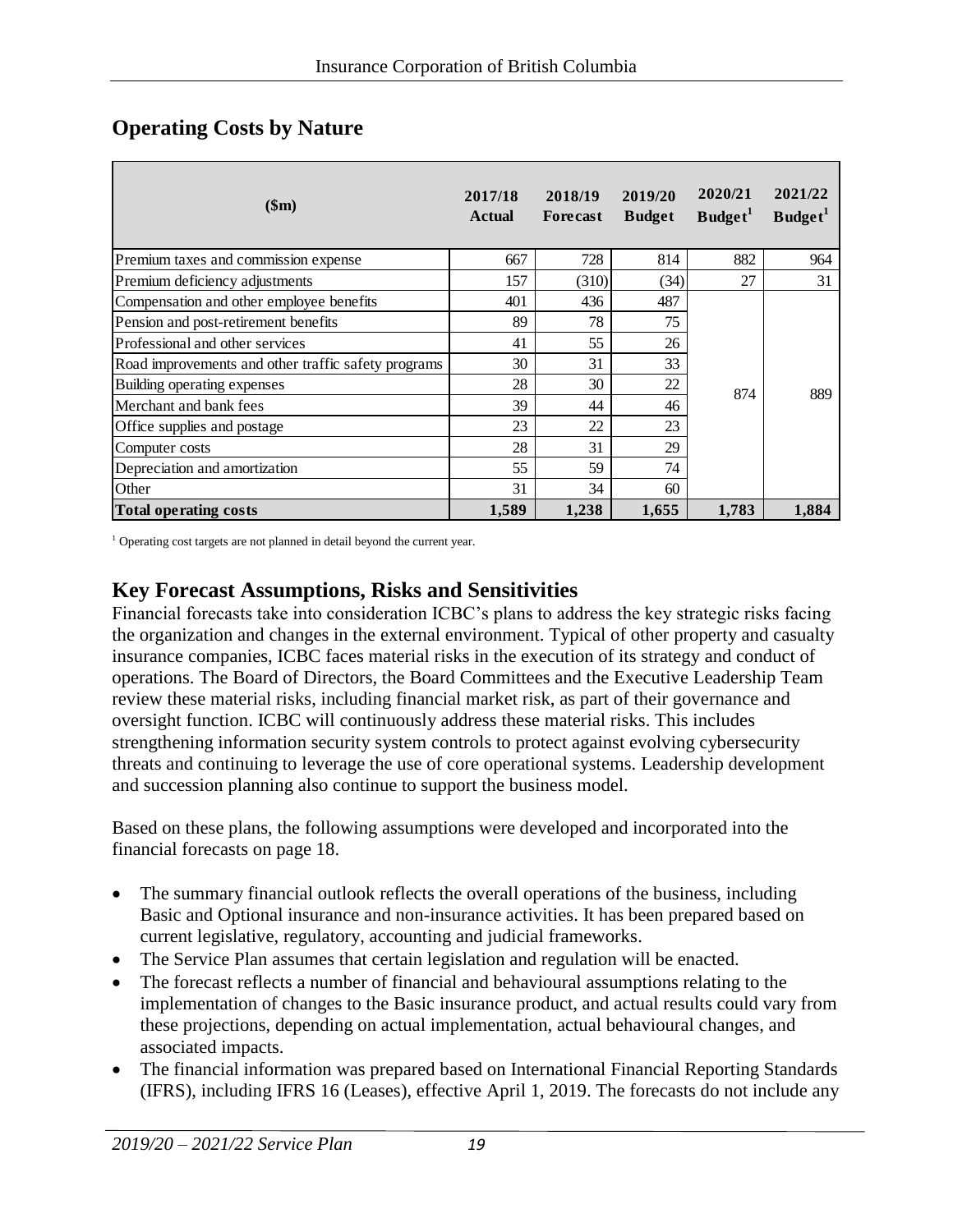| \$m\$                                               | 2017/18<br><b>Actual</b> | 2018/19<br>Forecast | 2019/20<br><b>Budget</b> | 2020/21<br>Budget <sup>1</sup> | 2021/22<br>Budget <sup>1</sup> |
|-----------------------------------------------------|--------------------------|---------------------|--------------------------|--------------------------------|--------------------------------|
| Premium taxes and commission expense                | 667                      | 728                 | 814                      | 882                            | 964                            |
| Premium deficiency adjustments                      | 157                      | (310)               | (34)                     | 27                             | 31                             |
| Compensation and other employee benefits            | 401                      | 436                 | 487                      |                                |                                |
| Pension and post-retirement benefits                | 89                       | 78                  | 75                       |                                |                                |
| Professional and other services                     | 41                       | 55                  | 26                       |                                |                                |
| Road improvements and other traffic safety programs | 30                       | 31                  | 33                       |                                |                                |
| Building operating expenses                         | 28                       | 30                  | 22                       | 874                            | 889                            |
| Merchant and bank fees                              | 39                       | 44                  | 46                       |                                |                                |
| Office supplies and postage                         | 23                       | 22                  | 23                       |                                |                                |
| Computer costs                                      | 28                       | 31                  | 29                       |                                |                                |
| Depreciation and amortization                       | 55                       | 59                  | 74                       |                                |                                |
| Other                                               | 31                       | 34                  | 60                       |                                |                                |
| <b>Total operating costs</b>                        | 1,589                    | 1,238               | 1,655                    | 1,783                          | 1.884                          |

### **Operating Costs by Nature**

<sup>1</sup> Operating cost targets are not planned in detail beyond the current year.

### **Key Forecast Assumptions, Risks and Sensitivities**

Financial forecasts take into consideration ICBC's plans to address the key strategic risks facing the organization and changes in the external environment. Typical of other property and casualty insurance companies, ICBC faces material risks in the execution of its strategy and conduct of operations. The Board of Directors, the Board Committees and the Executive Leadership Team review these material risks, including financial market risk, as part of their governance and oversight function. ICBC will continuously address these material risks. This includes strengthening information security system controls to protect against evolving cybersecurity threats and continuing to leverage the use of core operational systems. Leadership development and succession planning also continue to support the business model.

Based on these plans, the following assumptions were developed and incorporated into the financial forecasts on page 18.

- The summary financial outlook reflects the overall operations of the business, including Basic and Optional insurance and non-insurance activities. It has been prepared based on current legislative, regulatory, accounting and judicial frameworks.
- The Service Plan assumes that certain legislation and regulation will be enacted.
- The forecast reflects a number of financial and behavioural assumptions relating to the implementation of changes to the Basic insurance product, and actual results could vary from these projections, depending on actual implementation, actual behavioural changes, and associated impacts.
- The financial information was prepared based on International Financial Reporting Standards (IFRS), including IFRS 16 (Leases), effective April 1, 2019. The forecasts do not include any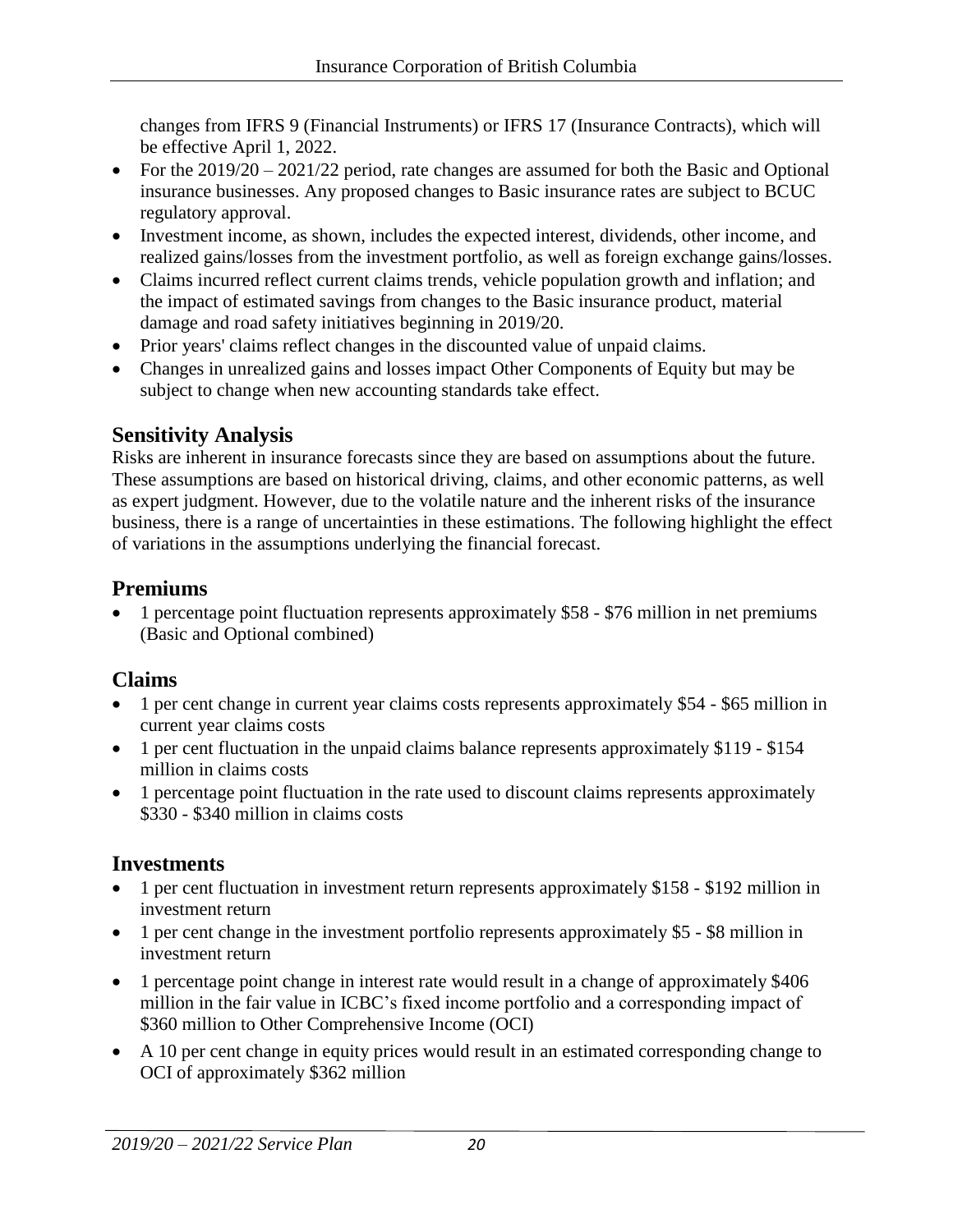changes from IFRS 9 (Financial Instruments) or IFRS 17 (Insurance Contracts), which will be effective April 1, 2022.

- For the 2019/20 2021/22 period, rate changes are assumed for both the Basic and Optional insurance businesses. Any proposed changes to Basic insurance rates are subject to BCUC regulatory approval.
- Investment income, as shown, includes the expected interest, dividends, other income, and realized gains/losses from the investment portfolio, as well as foreign exchange gains/losses.
- Claims incurred reflect current claims trends, vehicle population growth and inflation; and the impact of estimated savings from changes to the Basic insurance product, material damage and road safety initiatives beginning in 2019/20.
- Prior years' claims reflect changes in the discounted value of unpaid claims.
- Changes in unrealized gains and losses impact Other Components of Equity but may be subject to change when new accounting standards take effect.

# **Sensitivity Analysis**

Risks are inherent in insurance forecasts since they are based on assumptions about the future. These assumptions are based on historical driving, claims, and other economic patterns, as well as expert judgment. However, due to the volatile nature and the inherent risks of the insurance business, there is a range of uncertainties in these estimations. The following highlight the effect of variations in the assumptions underlying the financial forecast.

# **Premiums**

• 1 percentage point fluctuation represents approximately \$58 - \$76 million in net premiums (Basic and Optional combined)

# **Claims**

- 1 per cent change in current year claims costs represents approximately \$54 \$65 million in current year claims costs
- 1 per cent fluctuation in the unpaid claims balance represents approximately \$119 \$154 million in claims costs
- 1 percentage point fluctuation in the rate used to discount claims represents approximately \$330 - \$340 million in claims costs

# **Investments**

- 1 per cent fluctuation in investment return represents approximately \$158 \$192 million in investment return
- 1 per cent change in the investment portfolio represents approximately \$5 \$8 million in investment return
- 1 percentage point change in interest rate would result in a change of approximately \$406 million in the fair value in ICBC's fixed income portfolio and a corresponding impact of \$360 million to Other Comprehensive Income (OCI)
- A 10 per cent change in equity prices would result in an estimated corresponding change to OCI of approximately \$362 million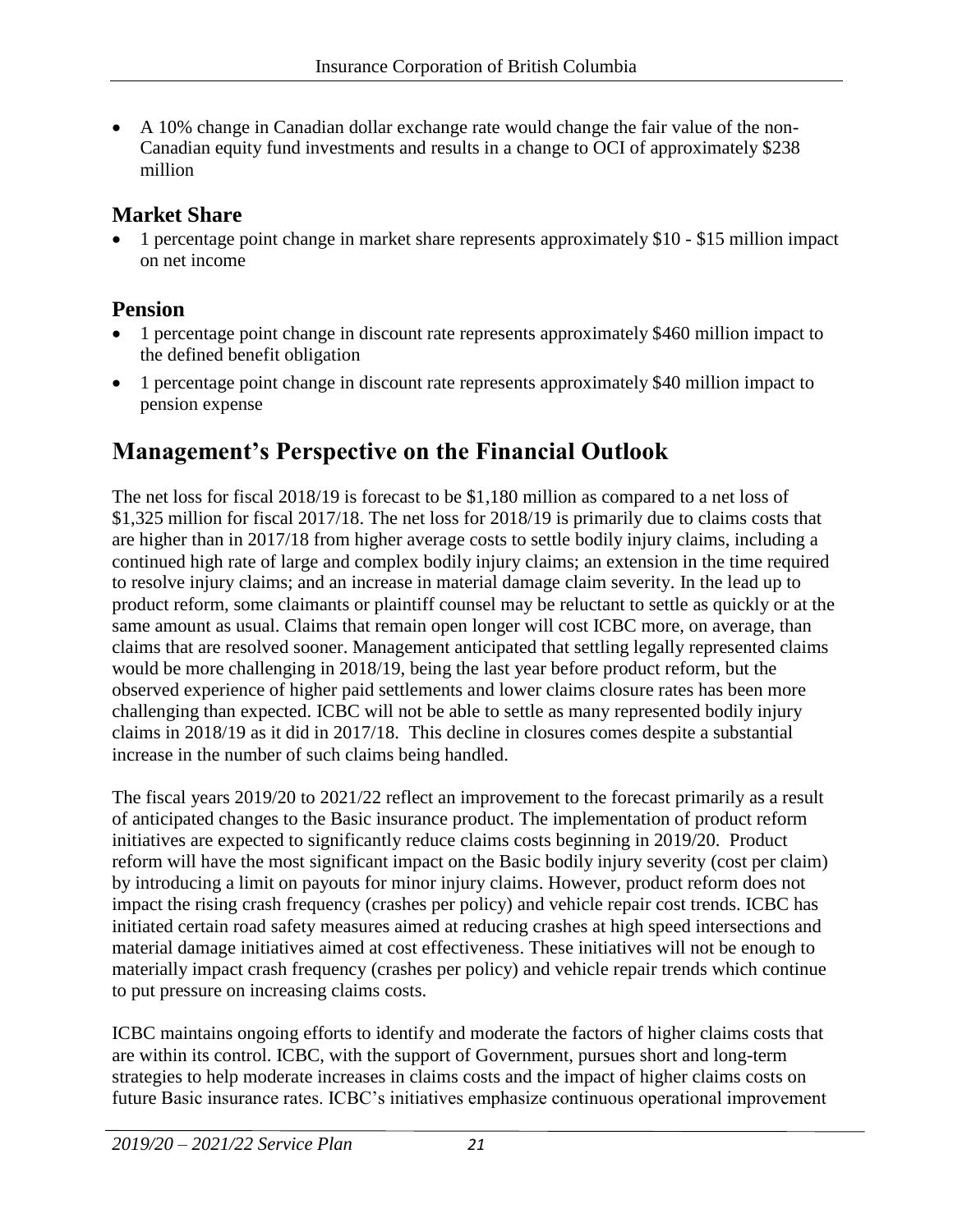A 10% change in Canadian dollar exchange rate would change the fair value of the non-Canadian equity fund investments and results in a change to OCI of approximately \$238 million

# **Market Share**

• 1 percentage point change in market share represents approximately \$10 - \$15 million impact on net income

# **Pension**

- 1 percentage point change in discount rate represents approximately \$460 million impact to the defined benefit obligation
- 1 percentage point change in discount rate represents approximately \$40 million impact to pension expense

# **Management's Perspective on the Financial Outlook**

The net loss for fiscal 2018/19 is forecast to be \$1,180 million as compared to a net loss of \$1,325 million for fiscal 2017/18. The net loss for 2018/19 is primarily due to claims costs that are higher than in 2017/18 from higher average costs to settle bodily injury claims, including a continued high rate of large and complex bodily injury claims; an extension in the time required to resolve injury claims; and an increase in material damage claim severity. In the lead up to product reform, some claimants or plaintiff counsel may be reluctant to settle as quickly or at the same amount as usual. Claims that remain open longer will cost ICBC more, on average, than claims that are resolved sooner. Management anticipated that settling legally represented claims would be more challenging in 2018/19, being the last year before product reform, but the observed experience of higher paid settlements and lower claims closure rates has been more challenging than expected. ICBC will not be able to settle as many represented bodily injury claims in 2018/19 as it did in 2017/18. This decline in closures comes despite a substantial increase in the number of such claims being handled.

The fiscal years 2019/20 to 2021/22 reflect an improvement to the forecast primarily as a result of anticipated changes to the Basic insurance product. The implementation of product reform initiatives are expected to significantly reduce claims costs beginning in 2019/20. Product reform will have the most significant impact on the Basic bodily injury severity (cost per claim) by introducing a limit on payouts for minor injury claims. However, product reform does not impact the rising crash frequency (crashes per policy) and vehicle repair cost trends. ICBC has initiated certain road safety measures aimed at reducing crashes at high speed intersections and material damage initiatives aimed at cost effectiveness. These initiatives will not be enough to materially impact crash frequency (crashes per policy) and vehicle repair trends which continue to put pressure on increasing claims costs.

ICBC maintains ongoing efforts to identify and moderate the factors of higher claims costs that are within its control. ICBC, with the support of Government, pursues short and long-term strategies to help moderate increases in claims costs and the impact of higher claims costs on future Basic insurance rates. ICBC's initiatives emphasize continuous operational improvement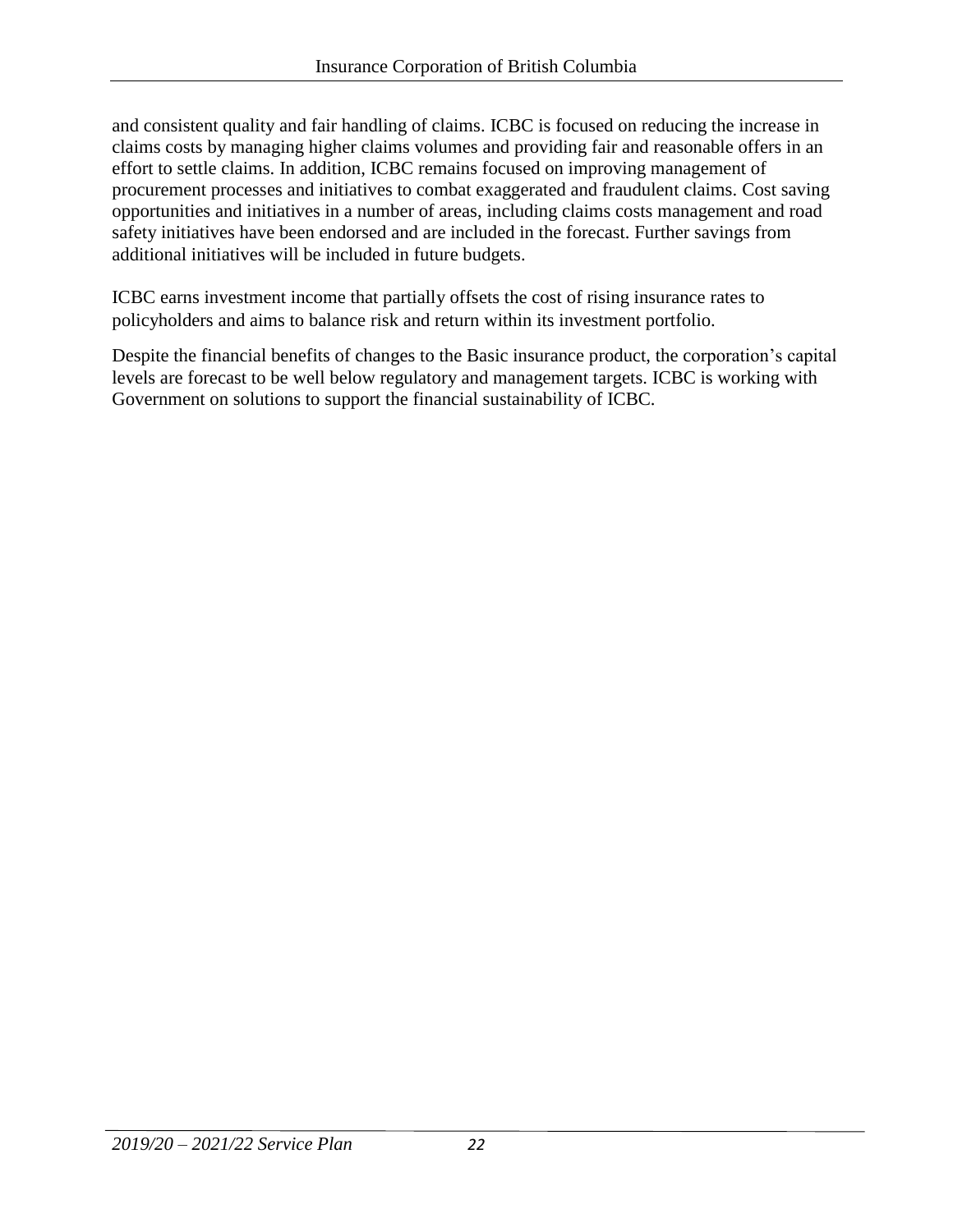and consistent quality and fair handling of claims. ICBC is focused on reducing the increase in claims costs by managing higher claims volumes and providing fair and reasonable offers in an effort to settle claims. In addition, ICBC remains focused on improving management of procurement processes and initiatives to combat exaggerated and fraudulent claims. Cost saving opportunities and initiatives in a number of areas, including claims costs management and road safety initiatives have been endorsed and are included in the forecast. Further savings from additional initiatives will be included in future budgets.

ICBC earns investment income that partially offsets the cost of rising insurance rates to policyholders and aims to balance risk and return within its investment portfolio.

Despite the financial benefits of changes to the Basic insurance product, the corporation's capital levels are forecast to be well below regulatory and management targets. ICBC is working with Government on solutions to support the financial sustainability of ICBC.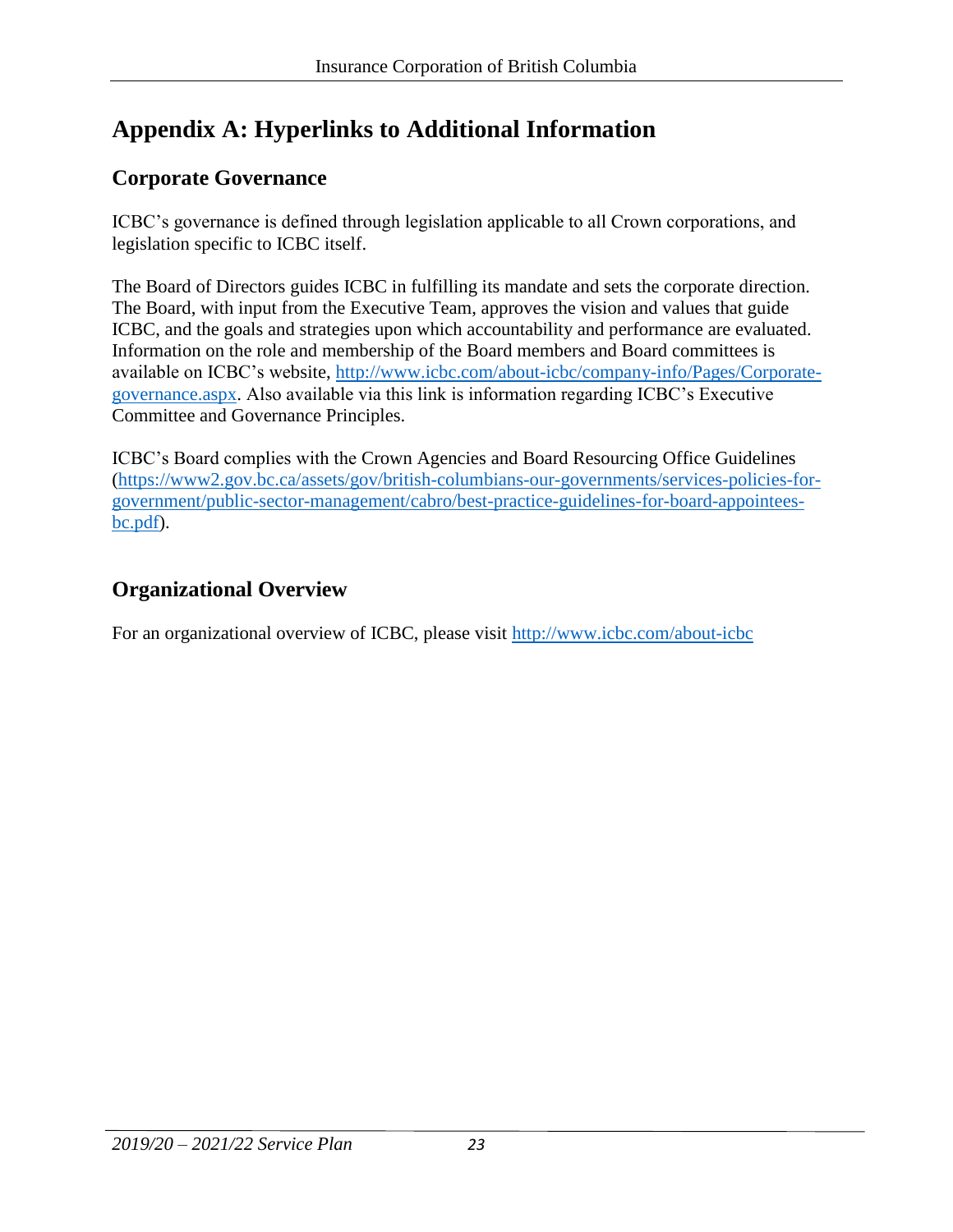# **Appendix A: Hyperlinks to Additional Information**

# **Corporate Governance**

ICBC's governance is defined through legislation applicable to all Crown corporations, and legislation specific to ICBC itself.

The Board of Directors guides ICBC in fulfilling its mandate and sets the corporate direction. The Board, with input from the Executive Team, approves the vision and values that guide ICBC, and the goals and strategies upon which accountability and performance are evaluated. Information on the role and membership of the Board members and Board committees is available on ICBC's website, [http://www.icbc.com/about-icbc/company-info/Pages/Corporate](http://www.icbc.com/about-icbc/company-info/Pages/Corporate-governance.aspx)[governance.aspx.](http://www.icbc.com/about-icbc/company-info/Pages/Corporate-governance.aspx) Also available via this link is information regarding ICBC's Executive Committee and Governance Principles.

ICBC's Board complies with the Crown Agencies and Board Resourcing Office Guidelines [\(https://www2.gov.bc.ca/assets/gov/british-columbians-our-governments/services-policies-for](https://www2.gov.bc.ca/assets/gov/british-columbians-our-governments/services-policies-for-government/public-sector-management/cabro/best-practice-guidelines-for-board-appointees-bc.pdf)[government/public-sector-management/cabro/best-practice-guidelines-for-board-appointees](https://www2.gov.bc.ca/assets/gov/british-columbians-our-governments/services-policies-for-government/public-sector-management/cabro/best-practice-guidelines-for-board-appointees-bc.pdf)[bc.pdf\)](https://www2.gov.bc.ca/assets/gov/british-columbians-our-governments/services-policies-for-government/public-sector-management/cabro/best-practice-guidelines-for-board-appointees-bc.pdf).

# **Organizational Overview**

For an organizational overview of ICBC, please visit<http://www.icbc.com/about-icbc>